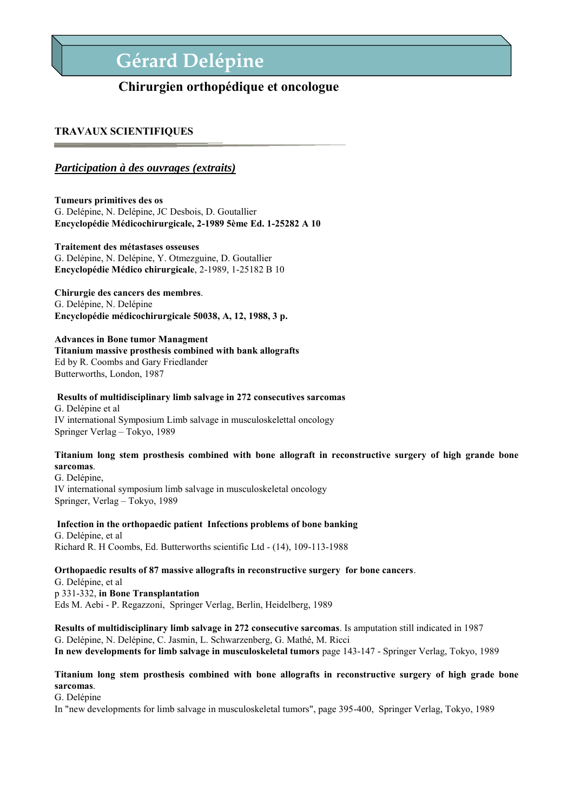# **Gérard Delépine**

## **Chirurgien orthopédique et oncologue**

### **TRAVAUX SCIENTIFIQUES**

### *Participation à des ouvrages (extraits)*

**Tumeurs primitives des os** G. Delépine, N. Delépine, JC Desbois, D. Goutallier **Encyclopédie Médicochirurgicale, 2-1989 5ème Ed. 1-25282 A 10** 

### **Traitement des métastases osseuses**

G. Delépine, N. Delépine, Y. Otmezguine, D. Goutallier **Encyclopédie Médico chirurgicale**, 2-1989, 1-25182 B 10

### **Chirurgie des cancers des membres**.

G. Delépine, N. Delépine **Encyclopédie médicochirurgicale 50038, A, 12, 1988, 3 p.** 

#### **Advances in Bone tumor Managment**

#### **Titanium massive prosthesis combined with bank allografts** Ed by R. Coombs and Gary Friedlander

Butterworths, London, 1987

#### **Results of multidisciplinary limb salvage in 272 consecutives sarcomas**

G. Delépine et al IV international Symposium Limb salvage in musculoskelettal oncology Springer Verlag – Tokyo, 1989

### **Titanium long stem prosthesis combined with bone allograft in reconstructive surgery of high grande bone sarcomas**.

G. Delépine, IV international symposium limb salvage in musculoskeletal oncology Springer, Verlag – Tokyo, 1989

### **Infection in the orthopaedic patient Infections problems of bone banking**

G. Delépine, et al Richard R. H Coombs, Ed. Butterworths scientific Ltd - (14), 109-113-1988

### **Orthopaedic results of 87 massive allografts in reconstructive surgery for bone cancers**.

G. Delépine, et al p 331-332, **in Bone Transplantation** Eds M. Aebi - P. Regazzoni, Springer Verlag, Berlin, Heidelberg, 1989

**Results of multidisciplinary limb salvage in 272 consecutive sarcomas**. Is amputation still indicated in 1987 G. Delépine, N. Delépine, C. Jasmin, L. Schwarzenberg, G. Mathé, M. Ricci **In new developments for limb salvage in musculoskeletal tumors** page 143-147 - Springer Verlag, Tokyo, 1989

### **Titanium long stem prosthesis combined with bone allografts in reconstructive surgery of high grade bone sarcomas**.

G. Delépine

In "new developments for limb salvage in musculoskeletal tumors", page 395-400, Springer Verlag, Tokyo, 1989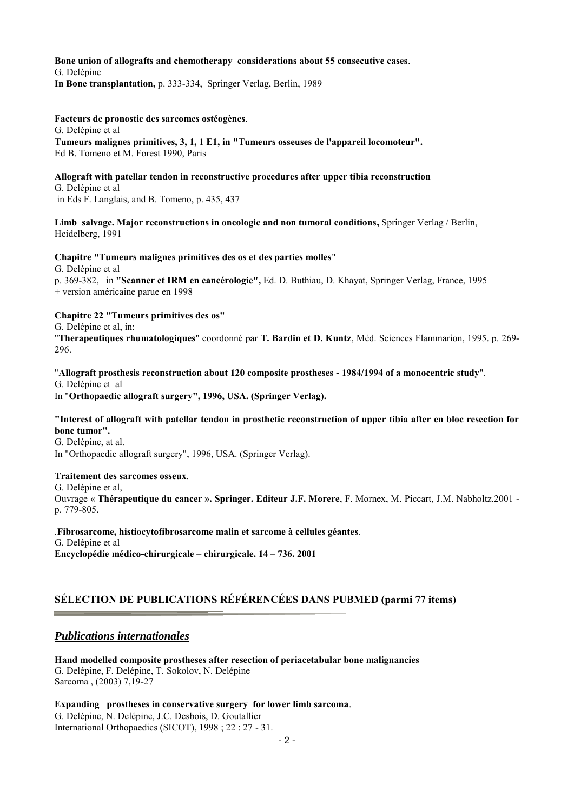### **Bone union of allografts and chemotherapy considerations about 55 consecutive cases**. G. Delépine

**In Bone transplantation,** p. 333-334, Springer Verlag, Berlin, 1989

#### **Facteurs de pronostic des sarcomes ostéogènes**.

G. Delépine et al

**Tumeurs malignes primitives, 3, 1, 1 E1, in "Tumeurs osseuses de l'appareil locomoteur".**  Ed B. Tomeno et M. Forest 1990, Paris

### **Allograft with patellar tendon in reconstructive procedures after upper tibia reconstruction**

G. Delépine et al in Eds F. Langlais, and B. Tomeno, p. 435, 437

Limb salvage. Major reconstructions in oncologic and non tumoral conditions, Springer Verlag / Berlin, Heidelberg, 1991

#### **Chapitre "Tumeurs malignes primitives des os et des parties molles**"

G. Delépine et al

p. 369-382, in **"Scanner et IRM en cancérologie",** Ed. D. Buthiau, D. Khayat, Springer Verlag, France, 1995 + version américaine parue en 1998

#### **Chapitre 22 "Tumeurs primitives des os"**

G. Delépine et al, in:

"**Therapeutiques rhumatologiques**" coordonné par **T. Bardin et D. Kuntz**, Méd. Sciences Flammarion, 1995. p. 269- 296.

#### "**Allograft prosthesis reconstruction about 120 composite prostheses - 1984/1994 of a monocentric study**".

G. Delépine et al

In "**Orthopaedic allograft surgery", 1996, USA. (Springer Verlag).** 

#### **"Interest of allograft with patellar tendon in prosthetic reconstruction of upper tibia after en bloc resection for bone tumor".**

G. Delépine, at al.

In "Orthopaedic allograft surgery", 1996, USA. (Springer Verlag).

#### **Traitement des sarcomes osseux**.

G. Delépine et al, Ouvrage « **Thérapeutique du cancer ». Springer. Editeur J.F. Morere**, F. Mornex, M. Piccart, J.M. Nabholtz.2001 p. 779-805.

.**Fibrosarcome, histiocytofibrosarcome malin et sarcome à cellules géantes**. G. Delépine et al **Encyclopédie médico-chirurgicale – chirurgicale. 14 – 736. 2001** 

## **SÉLECTION DE PUBLICATIONS RÉFÉRENCÉES DANS PUBMED (parmi 77 items)**

### *Publications internationales*

**Hand modelled composite prostheses after resection of periacetabular bone malignancies**  G. Delépine, F. Delépine, T. Sokolov, N. Delépine Sarcoma , (2003) 7,19-27

**Expanding prostheses in conservative surgery for lower limb sarcoma**. G. Delépine, N. Delépine, J.C. Desbois, D. Goutallier International Orthopaedics (SICOT), 1998 ; 22 : 27 - 31.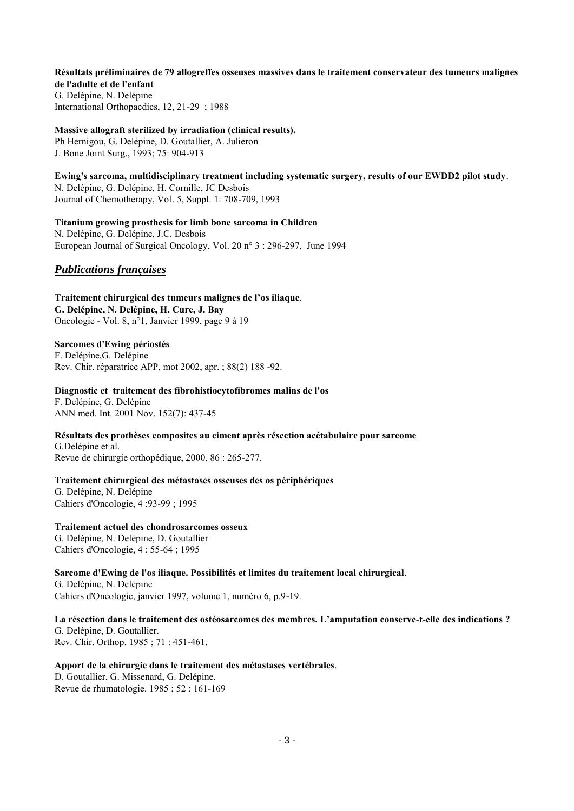**Résultats préliminaires de 79 allogreffes osseuses massives dans le traitement conservateur des tumeurs malignes de l'adulte et de l'enfant**  G. Delépine, N. Delépine International Orthopaedics, 12, 21-29 ; 1988

**Massive allograft sterilized by irradiation (clinical results).**  Ph Hernigou, G. Delépine, D. Goutallier, A. Julieron J. Bone Joint Surg., 1993; 75: 904-913

**Ewing's sarcoma, multidisciplinary treatment including systematic surgery, results of our EWDD2 pilot study**. N. Delépine, G. Delépine, H. Cornille, JC Desbois Journal of Chemotherapy, Vol. 5, Suppl. 1: 708-709, 1993

**Titanium growing prosthesis for limb bone sarcoma in Children**  N. Delépine, G. Delépine, J.C. Desbois European Journal of Surgical Oncology, Vol. 20 n° 3 : 296-297, June 1994

### *Publications françaises*

**Traitement chirurgical des tumeurs malignes de l'os iliaque**. **G. Delépine, N. Delépine, H. Cure, J. Bay**  Oncologie - Vol. 8, n°1, Janvier 1999, page 9 à 19

**Sarcomes d'Ewing périostés**  F. Delépine,G. Delépine Rev. Chir. réparatrice APP, mot 2002, apr. ; 88(2) 188 -92.

**Diagnostic et traitement des fibrohistiocytofibromes malins de l'os**  F. Delépine, G. Delépine ANN med. Int. 2001 Nov. 152(7): 437-45

**Résultats des prothèses composites au ciment après résection acétabulaire pour sarcome**  G.Delépine et al. Revue de chirurgie orthopédique, 2000, 86 : 265-277.

**Traitement chirurgical des métastases osseuses des os périphériques**  G. Delépine, N. Delépine Cahiers d'Oncologie, 4 :93-99 ; 1995

**Traitement actuel des chondrosarcomes osseux** G. Delépine, N. Delépine, D. Goutallier Cahiers d'Oncologie, 4 : 55-64 ; 1995

**Sarcome d'Ewing de l'os iliaque. Possibilités et limites du traitement local chirurgical**.

G. Delépine, N. Delépine Cahiers d'Oncologie, janvier 1997, volume 1, numéro 6, p.9-19.

**La résection dans le traitement des ostéosarcomes des membres. L'amputation conserve-t-elle des indications ?**  G. Delépine, D. Goutallier. Rev. Chir. Orthop. 1985 ; 71 : 451-461.

**Apport de la chirurgie dans le traitement des métastases vertébrales**. D. Goutallier, G. Missenard, G. Delépine.

Revue de rhumatologie. 1985 ; 52 : 161-169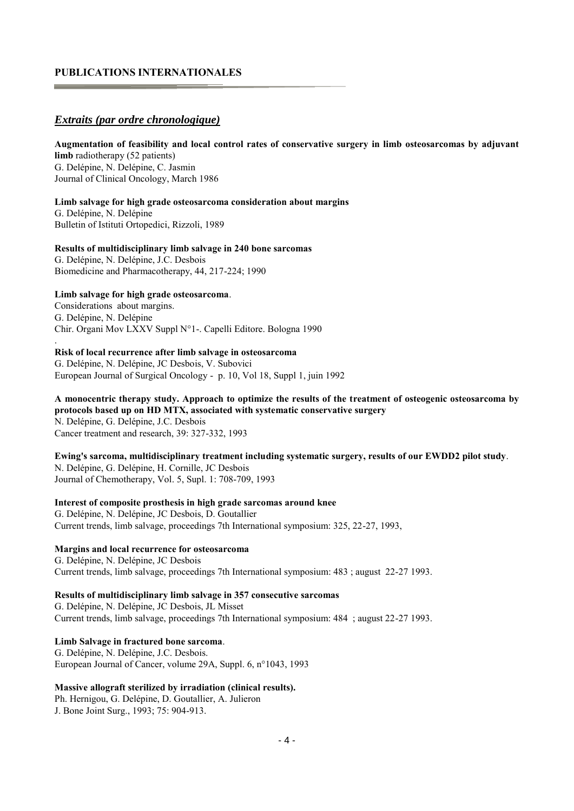### **PUBLICATIONS INTERNATIONALES**

### *Extraits (par ordre chronologique)*

### **Augmentation of feasibility and local control rates of conservative surgery in limb osteosarcomas by adjuvant limb** radiotherapy (52 patients) G. Delépine, N. Delépine, C. Jasmin Journal of Clinical Oncology, March 1986

#### **Limb salvage for high grade osteosarcoma consideration about margins**

G. Delépine, N. Delépine Bulletin of Istituti Ortopedici, Rizzoli, 1989

#### **Results of multidisciplinary limb salvage in 240 bone sarcomas**

G. Delépine, N. Delépine, J.C. Desbois Biomedicine and Pharmacotherapy, 44, 217-224; 1990

#### **Limb salvage for high grade osteosarcoma**.

.

Considerations about margins. G. Delépine, N. Delépine Chir. Organi Mov LXXV Suppl N°1-. Capelli Editore. Bologna 1990

#### **Risk of local recurrence after limb salvage in osteosarcoma**

G. Delépine, N. Delépine, JC Desbois, V. Subovici European Journal of Surgical Oncology - p. 10, Vol 18, Suppl 1, juin 1992

### **A monocentric therapy study. Approach to optimize the results of the treatment of osteogenic osteosarcoma by protocols based up on HD MTX, associated with systematic conservative surgery**

N. Delépine, G. Delépine, J.C. Desbois Cancer treatment and research, 39: 327-332, 1993

#### **Ewing's sarcoma, multidisciplinary treatment including systematic surgery, results of our EWDD2 pilot study**. N. Delépine, G. Delépine, H. Cornille, JC Desbois

Journal of Chemotherapy, Vol. 5, Supl. 1: 708-709, 1993

### **Interest of composite prosthesis in high grade sarcomas around knee**

G. Delépine, N. Delépine, JC Desbois, D. Goutallier Current trends, limb salvage, proceedings 7th International symposium: 325, 22-27, 1993,

#### **Margins and local recurrence for osteosarcoma**

G. Delépine, N. Delépine, JC Desbois Current trends, limb salvage, proceedings 7th International symposium: 483 ; august 22-27 1993.

### **Results of multidisciplinary limb salvage in 357 consecutive sarcomas**

G. Delépine, N. Delépine, JC Desbois, JL Misset Current trends, limb salvage, proceedings 7th International symposium: 484 ; august 22-27 1993.

### **Limb Salvage in fractured bone sarcoma**.

G. Delépine, N. Delépine, J.C. Desbois. European Journal of Cancer, volume 29A, Suppl. 6, n°1043, 1993

#### **Massive allograft sterilized by irradiation (clinical results).**

Ph. Hernigou, G. Delépine, D. Goutallier, A. Julieron J. Bone Joint Surg., 1993; 75: 904-913.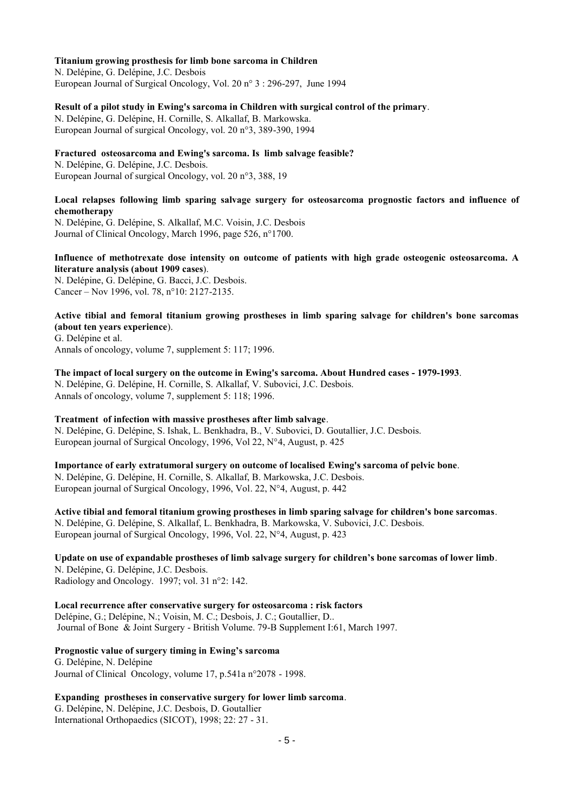#### **Titanium growing prosthesis for limb bone sarcoma in Children**

N. Delépine, G. Delépine, J.C. Desbois European Journal of Surgical Oncology, Vol. 20 n° 3 : 296-297, June 1994

#### **Result of a pilot study in Ewing's sarcoma in Children with surgical control of the primary**.

N. Delépine, G. Delépine, H. Cornille, S. Alkallaf, B. Markowska. European Journal of surgical Oncology, vol. 20 n°3, 389-390, 1994

### **Fractured osteosarcoma and Ewing's sarcoma. Is limb salvage feasible?**

N. Delépine, G. Delépine, J.C. Desbois. European Journal of surgical Oncology, vol. 20 n°3, 388, 19

### **Local relapses following limb sparing salvage surgery for osteosarcoma prognostic factors and influence of chemotherapy**

N. Delépine, G. Delépine, S. Alkallaf, M.C. Voisin, J.C. Desbois Journal of Clinical Oncology, March 1996, page 526, n°1700.

### **Influence of methotrexate dose intensity on outcome of patients with high grade osteogenic osteosarcoma. A literature analysis (about 1909 cases**).

N. Delépine, G. Delépine, G. Bacci, J.C. Desbois. Cancer – Nov 1996, vol. 78, n°10: 2127-2135.

### **Active tibial and femoral titanium growing prostheses in limb sparing salvage for children's bone sarcomas (about ten years experience**).

G. Delépine et al. Annals of oncology, volume 7, supplement 5: 117; 1996.

#### **The impact of local surgery on the outcome in Ewing's sarcoma. About Hundred cases - 1979-1993**. N. Delépine, G. Delépine, H. Cornille, S. Alkallaf, V. Subovici, J.C. Desbois. Annals of oncology, volume 7, supplement 5: 118; 1996.

#### **Treatment of infection with massive prostheses after limb salvage**. N. Delépine, G. Delépine, S. Ishak, L. Benkhadra, B., V. Subovici, D. Goutallier, J.C. Desbois. European journal of Surgical Oncology, 1996, Vol 22, N°4, August, p. 425

### **Importance of early extratumoral surgery on outcome of localised Ewing's sarcoma of pelvic bone**. N. Delépine, G. Delépine, H. Cornille, S. Alkallaf, B. Markowska, J.C. Desbois. European journal of Surgical Oncology, 1996, Vol. 22, N°4, August, p. 442

**Active tibial and femoral titanium growing prostheses in limb sparing salvage for children's bone sarcomas**. N. Delépine, G. Delépine, S. Alkallaf, L. Benkhadra, B. Markowska, V. Subovici, J.C. Desbois. European journal of Surgical Oncology, 1996, Vol. 22, N°4, August, p. 423

## **Update on use of expandable prostheses of limb salvage surgery for children's bone sarcomas of lower limb**. N. Delépine, G. Delépine, J.C. Desbois.

Radiology and Oncology. 1997; vol. 31 n°2: 142.

#### **Local recurrence after conservative surgery for osteosarcoma : risk factors**

Delépine, G.; Delépine, N.; Voisin, M. C.; Desbois, J. C.; Goutallier, D.. Journal of Bone & Joint Surgery - British Volume. 79-B Supplement I:61, March 1997.

### **Prognostic value of surgery timing in Ewing's sarcoma**

G. Delépine, N. Delépine Journal of Clinical Oncology, volume 17, p.541a n°2078 - 1998.

### **Expanding prostheses in conservative surgery for lower limb sarcoma**.

G. Delépine, N. Delépine, J.C. Desbois, D. Goutallier International Orthopaedics (SICOT), 1998; 22: 27 - 31.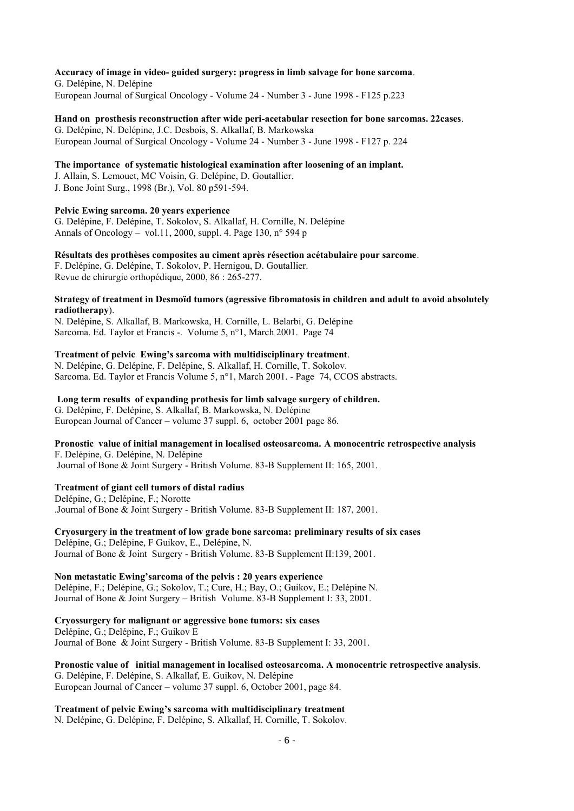### **Accuracy of image in video- guided surgery: progress in limb salvage for bone sarcoma**.

G. Delépine, N. Delépine European Journal of Surgical Oncology - Volume 24 - Number 3 - June 1998 - F125 p.223

**Hand on prosthesis reconstruction after wide peri-acetabular resection for bone sarcomas. 22cases**. G. Delépine, N. Delépine, J.C. Desbois, S. Alkallaf, B. Markowska European Journal of Surgical Oncology - Volume 24 - Number 3 - June 1998 - F127 p. 224

#### **The importance of systematic histological examination after loosening of an implant.**

J. Allain, S. Lemouet, MC Voisin, G. Delépine, D. Goutallier. J. Bone Joint Surg., 1998 (Br.), Vol. 80 p591-594.

#### **Pelvic Ewing sarcoma. 20 years experience**

G. Delépine, F. Delépine, T. Sokolov, S. Alkallaf, H. Cornille, N. Delépine Annals of Oncology – vol.11, 2000, suppl. 4, Page 130,  $n^{\circ}$  594 p

#### **Résultats des prothèses composites au ciment après résection acétabulaire pour sarcome**.

F. Delépine, G. Delépine, T. Sokolov, P. Hernigou, D. Goutallier. Revue de chirurgie orthopédique, 2000, 86 : 265-277.

#### **Strategy of treatment in Desmoïd tumors (agressive fibromatosis in children and adult to avoid absolutely radiotherapy**).

N. Delépine, S. Alkallaf, B. Markowska, H. Cornille, L. Belarbi, G. Delépine Sarcoma. Ed. Taylor et Francis -. Volume 5, n°1, March 2001. Page 74

### **Treatment of pelvic Ewing's sarcoma with multidisciplinary treatment**.

N. Delépine, G. Delépine, F. Delépine, S. Alkallaf, H. Cornille, T. Sokolov. Sarcoma. Ed. Taylor et Francis Volume 5, n°1, March 2001. - Page 74, CCOS abstracts.

### **Long term results of expanding prothesis for limb salvage surgery of children.**

G. Delépine, F. Delépine, S. Alkallaf, B. Markowska, N. Delépine European Journal of Cancer – volume 37 suppl. 6, october 2001 page 86.

### **Pronostic value of initial management in localised osteosarcoma. A monocentric retrospective analysis**

F. Delépine, G. Delépine, N. Delépine Journal of Bone & Joint Surgery - British Volume. 83-B Supplement II: 165, 2001.

#### **Treatment of giant cell tumors of distal radius**

Delépine, G.; Delépine, F.; Norotte .Journal of Bone & Joint Surgery - British Volume. 83-B Supplement II: 187, 2001.

#### **Cryosurgery in the treatment of low grade bone sarcoma: preliminary results of six cases**  Delépine, G.; Delépine, F Guikov, E., Delépine, N. Journal of Bone & Joint Surgery - British Volume. 83-B Supplement II:139, 2001.

**Non metastatic Ewing'sarcoma of the pelvis : 20 years experience**  Delépine, F.; Delépine, G.; Sokolov, T.; Cure, H.; Bay, O.; Guikov, E.; Delépine N. Journal of Bone & Joint Surgery – British Volume. 83-B Supplement I: 33, 2001.

## **Cryossurgery for malignant or aggressive bone tumors: six cases**  Delépine, G.; Delépine, F.; Guikov E

Journal of Bone & Joint Surgery - British Volume. 83-B Supplement I: 33, 2001.

### **Pronostic value of initial management in localised osteosarcoma. A monocentric retrospective analysis**.

G. Delépine, F. Delépine, S. Alkallaf, E. Guikov, N. Delépine European Journal of Cancer – volume 37 suppl. 6, October 2001, page 84.

**Treatment of pelvic Ewing's sarcoma with multidisciplinary treatment** N. Delépine, G. Delépine, F. Delépine, S. Alkallaf, H. Cornille, T. Sokolov.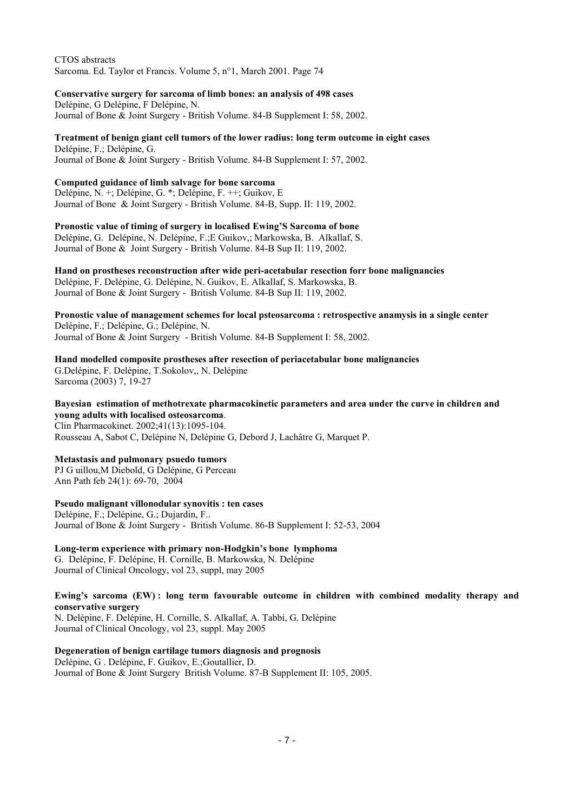CTOS abstracts Sarcoma. Ed. Taylor et Francis. Volume 5, n°1, March 2001. Page 74

**Conservative surgery for sarcoma of limb bones: an analysis of 498 cases**  Delépine, G Delépine, F Delépine, N. Journal of Bone & Joint Surgery - British Volume. 84-B Supplement I: 58, 2002.

**Treatment of benign giant cell tumors of the lower radius: long term outcome in eight cases**  Delépine, F.; Delépine, G. Journal of Bone & Joint Surgery - British Volume. 84-B Supplement I: 57, 2002.

## **Computed guidance of limb salvage for bone sarcoma**

Delépine, N. +; Delépine, G. \*; Delépine, F. ++; Guikov, E Journal of Bone & Joint Surgery - British Volume. 84-B, Supp. II: 119, 2002.

**Pronostic value of timing of surgery in localised Ewing'S Sarcoma of bone**  Delépine, G. Delépine, N. Delépine, F.;E Guikov,; Markowska, B. Alkallaf, S. Journal of Bone & Joint Surgery - British Volume. 84-B Sup II: 119, 2002.

**Hand on prostheses reconstruction after wide peri-acetabular resection forr bone malignancies**  Delépine, F. Delépine, G. Delépine, N. Guikov, E. Alkallaf, S. Markowska, B. Journal of Bone & Joint Surgery - British Volume. 84-B Sup II: 119, 2002.

**Pronostic value of management schemes for local psteosarcoma : retrospective anamysis in a single center**  Delépine, F.; Delépine, G.; Delépine, N. Journal of Bone & Joint Surgery - British Volume. 84-B Supplement I: 58, 2002.

**Hand modelled composite prostheses after resection of periacetabular bone malignancies**  G.Delépine, F. Delépine, T.Sokolov,, N. Delépine Sarcoma (2003) 7, 19-27

**Bayesian estimation of methotrexate pharmacokinetic parameters and area under the curve in children and young adults with localised osteosarcoma**. Clin Pharmacokinet. 2002;41(13):1095-104. [Rousseau A, Sabot C, Delépine N, Delépine G, Debord J, Lachâtre G, Marquet P.](http://www.ncbi.nlm.nih.gov/pubmed/12403645?ordinalpos=3&itool=EntrezSystem2.PEntrez.Pubmed.Pubmed_ResultsPanel.Pubmed_RVDocSum)

### **Metastasis and pulmonary psuedo tumors**

PJ G uillou,M Diebold, G Delépine, G Perceau Ann Path feb 24(1): 69-70, 2004

#### **Pseudo malignant villonodular synovitis : ten cases**

Delépine, F.; Delépine, G.; Dujardin, F.. Journal of Bone & Joint Surgery - British Volume. 86-B Supplement I: 52-53, 2004

**Long-term experience with primary non-Hodgkin's bone lymphoma**  G. Delépine, F. Delépine, H. Cornille, B. Markowska, N. Delépine Journal of Clinical Oncology, vol 23, suppl, may 2005

**Ewing's sarcoma (EW) : long term favourable outcome in children with combined modality therapy and conservative surgery** 

N. Delépine, F. Delépine, H. Cornille, S. Alkallaf, A. Tabbi, G. Delépine Journal of Clinical Oncology, vol 23, suppl. May 2005

**Degeneration of benign cartilage tumors diagnosis and prognosis**  Delépine, G . Delépine, F. Guikov, E.;Goutallier, D.

Journal of Bone & Joint Surgery British Volume. 87-B Supplement II: 105, 2005.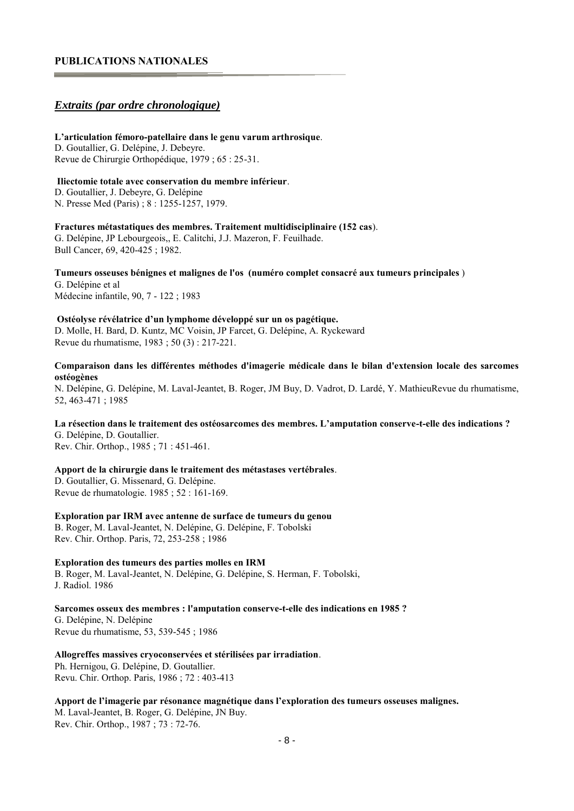### **PUBLICATIONS NATIONALES**

### *Extraits (par ordre chronologique)*

#### **L'articulation fémoro-patellaire dans le genu varum arthrosique**.

D. Goutallier, G. Delépine, J. Debeyre. Revue de Chirurgie Orthopédique, 1979 ; 65 : 25-31.

#### **Iliectomie totale avec conservation du membre inférieur**.

D. Goutallier, J. Debeyre, G. Delépine N. Presse Med (Paris) ; 8 : 1255-1257, 1979.

#### **Fractures métastatiques des membres. Traitement multidisciplinaire (152 cas**).

G. Delépine, JP Lebourgeois,, E. Calitchi, J.J. Mazeron, F. Feuilhade. Bull Cancer, 69, 420-425 ; 1982.

## **Tumeurs osseuses bénignes et malignes de l'os (numéro complet consacré aux tumeurs principales** )

G. Delépine et al Médecine infantile, 90, 7 - 122 ; 1983

#### **Ostéolyse révélatrice d'un lymphome développé sur un os pagétique.**

D. Molle, H. Bard, D. Kuntz, MC Voisin, JP Farcet, G. Delépine, A. Ryckeward Revue du rhumatisme, 1983 ; 50 (3) : 217-221.

#### **Comparaison dans les différentes méthodes d'imagerie médicale dans le bilan d'extension locale des sarcomes ostéogènes**

N. Delépine, G. Delépine, M. Laval-Jeantet, B. Roger, JM Buy, D. Vadrot, D. Lardé, Y. MathieuRevue du rhumatisme, 52, 463-471 ; 1985

#### **La résection dans le traitement des ostéosarcomes des membres. L'amputation conserve-t-elle des indications ?**  G. Delépine, D. Goutallier.

Rev. Chir. Orthop., 1985 ; 71 : 451-461.

#### **Apport de la chirurgie dans le traitement des métastases vertébrales**.

D. Goutallier, G. Missenard, G. Delépine. Revue de rhumatologie. 1985 ; 52 : 161-169.

#### **Exploration par IRM avec antenne de surface de tumeurs du genou**

B. Roger, M. Laval-Jeantet, N. Delépine, G. Delépine, F. Tobolski Rev. Chir. Orthop. Paris, 72, 253-258 ; 1986

### **Exploration des tumeurs des parties molles en IRM**

B. Roger, M. Laval-Jeantet, N. Delépine, G. Delépine, S. Herman, F. Tobolski, J. Radiol. 1986

#### **Sarcomes osseux des membres : l'amputation conserve-t-elle des indications en 1985 ?**

G. Delépine, N. Delépine Revue du rhumatisme, 53, 539-545 ; 1986

#### **Allogreffes massives cryoconservées et stérilisées par irradiation**.

Ph. Hernigou, G. Delépine, D. Goutallier. Revu. Chir. Orthop. Paris, 1986 ; 72 : 403-413

### **Apport de l'imagerie par résonance magnétique dans l'exploration des tumeurs osseuses malignes.**  M. Laval-Jeantet, B. Roger, G. Delépine, JN Buy. Rev. Chir. Orthop., 1987 ; 73 : 72-76.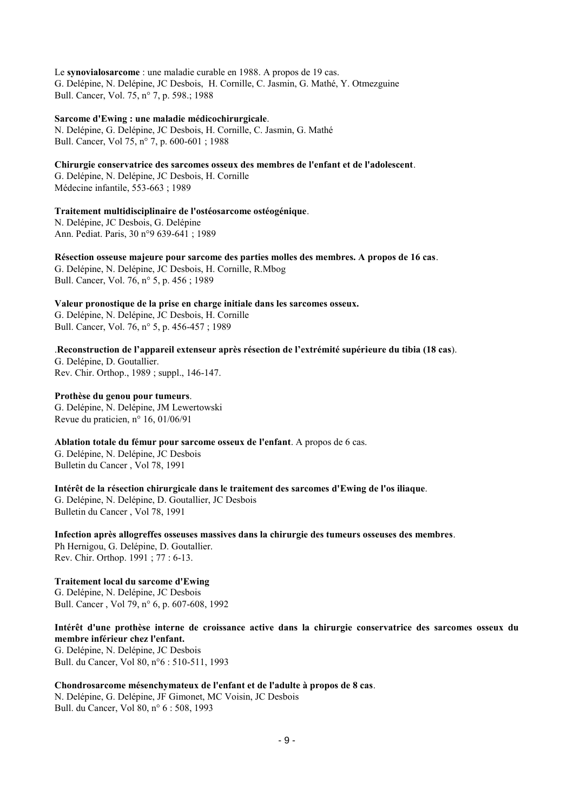Le **synovialosarcome** : une maladie curable en 1988. A propos de 19 cas. G. Delépine, N. Delépine, JC Desbois, H. Cornille, C. Jasmin, G. Mathé, Y. Otmezguine Bull. Cancer, Vol. 75, n° 7, p. 598.; 1988

**Sarcome d'Ewing : une maladie médicochirurgicale**.

N. Delépine, G. Delépine, JC Desbois, H. Cornille, C. Jasmin, G. Mathé Bull. Cancer, Vol 75, n° 7, p. 600-601 ; 1988

**Chirurgie conservatrice des sarcomes osseux des membres de l'enfant et de l'adolescent**.

G. Delépine, N. Delépine, JC Desbois, H. Cornille Médecine infantile, 553-663 ; 1989

**Traitement multidisciplinaire de l'ostéosarcome ostéogénique**.

N. Delépine, JC Desbois, G. Delépine Ann. Pediat. Paris, 30 n°9 639-641 ; 1989

**Résection osseuse majeure pour sarcome des parties molles des membres. A propos de 16 cas**. G. Delépine, N. Delépine, JC Desbois, H. Cornille, R.Mbog Bull. Cancer, Vol. 76, n° 5, p. 456 ; 1989

**Valeur pronostique de la prise en charge initiale dans les sarcomes osseux.**  G. Delépine, N. Delépine, JC Desbois, H. Cornille Bull. Cancer, Vol. 76, n° 5, p. 456-457 ; 1989

.**Reconstruction de l'appareil extenseur après résection de l'extrémité supérieure du tibia (18 cas**). G. Delépine, D. Goutallier. Rev. Chir. Orthop., 1989 ; suppl., 146-147.

**Prothèse du genou pour tumeurs**.

G. Delépine, N. Delépine, JM Lewertowski Revue du praticien, n° 16, 01/06/91

**Ablation totale du fémur pour sarcome osseux de l'enfant**. A propos de 6 cas. G. Delépine, N. Delépine, JC Desbois Bulletin du Cancer , Vol 78, 1991

**Intérêt de la résection chirurgicale dans le traitement des sarcomes d'Ewing de l'os iliaque**. G. Delépine, N. Delépine, D. Goutallier, JC Desbois Bulletin du Cancer , Vol 78, 1991

**Infection après allogreffes osseuses massives dans la chirurgie des tumeurs osseuses des membres**. Ph Hernigou, G. Delépine, D. Goutallier. Rev. Chir. Orthop. 1991 ; 77 : 6-13.

**Traitement local du sarcome d'Ewing**  G. Delépine, N. Delépine, JC Desbois Bull. Cancer , Vol 79, n° 6, p. 607-608, 1992

**Intérêt d'une prothèse interne de croissance active dans la chirurgie conservatrice des sarcomes osseux du membre inférieur chez l'enfant.**  G. Delépine, N. Delépine, JC Desbois Bull. du Cancer, Vol 80, n°6 : 510-511, 1993

**Chondrosarcome mésenchymateux de l'enfant et de l'adulte à propos de 8 cas**. N. Delépine, G. Delépine, JF Gimonet, MC Voisin, JC Desbois Bull. du Cancer, Vol 80, n° 6 : 508, 1993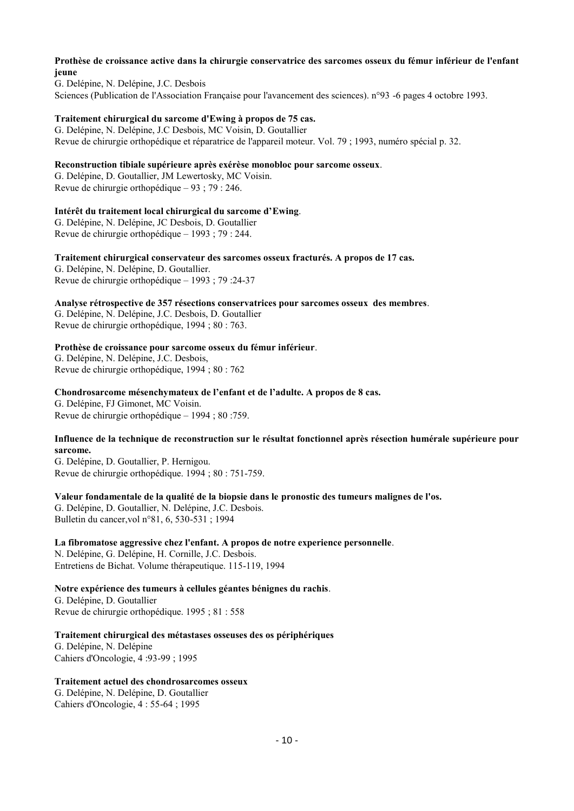#### **Prothèse de croissance active dans la chirurgie conservatrice des sarcomes osseux du fémur inférieur de l'enfant jeune**

G. Delépine, N. Delépine, J.C. Desbois Sciences (Publication de l'Association Française pour l'avancement des sciences). n°93 -6 pages 4 octobre 1993.

### **Traitement chirurgical du sarcome d'Ewing à propos de 75 cas.**

G. Delépine, N. Delépine, J.C Desbois, MC Voisin, D. Goutallier Revue de chirurgie orthopédique et réparatrice de l'appareil moteur. Vol. 79 ; 1993, numéro spécial p. 32.

#### **Reconstruction tibiale supérieure après exérèse monobloc pour sarcome osseux**.

G. Delépine, D. Goutallier, JM Lewertosky, MC Voisin. Revue de chirurgie orthopédique – 93 ; 79 : 246.

#### **Intérêt du traitement local chirurgical du sarcome d'Ewing**.

G. Delépine, N. Delépine, JC Desbois, D. Goutallier Revue de chirurgie orthopédique – 1993 ; 79 : 244.

### **Traitement chirurgical conservateur des sarcomes osseux fracturés. A propos de 17 cas.**

G. Delépine, N. Delépine, D. Goutallier. Revue de chirurgie orthopédique – 1993 ; 79 :24-37

#### **Analyse rétrospective de 357 résections conservatrices pour sarcomes osseux des membres**.

G. Delépine, N. Delépine, J.C. Desbois, D. Goutallier Revue de chirurgie orthopédique, 1994 ; 80 : 763.

#### **Prothèse de croissance pour sarcome osseux du fémur inférieur**.

G. Delépine, N. Delépine, J.C. Desbois, Revue de chirurgie orthopédique, 1994 ; 80 : 762

#### **Chondrosarcome mésenchymateux de l'enfant et de l'adulte. A propos de 8 cas.**

G. Delépine, FJ Gimonet, MC Voisin. Revue de chirurgie orthopédique – 1994 ; 80 :759.

### **Influence de la technique de reconstruction sur le résultat fonctionnel après résection humérale supérieure pour sarcome.**

G. Delépine, D. Goutallier, P. Hernigou. Revue de chirurgie orthopédique. 1994 ; 80 : 751-759.

#### **Valeur fondamentale de la qualité de la biopsie dans le pronostic des tumeurs malignes de l'os.**

G. Delépine, D. Goutallier, N. Delépine, J.C. Desbois. Bulletin du cancer,vol n°81, 6, 530-531 ; 1994

#### **La fibromatose aggressive chez l'enfant. A propos de notre experience personnelle**.

N. Delépine, G. Delépine, H. Cornille, J.C. Desbois. Entretiens de Bichat. Volume thérapeutique. 115-119, 1994

#### **Notre expérience des tumeurs à cellules géantes bénignes du rachis**. G. Delépine, D. Goutallier Revue de chirurgie orthopédique. 1995 ; 81 : 558

**Traitement chirurgical des métastases osseuses des os périphériques**  G. Delépine, N. Delépine Cahiers d'Oncologie, 4 :93-99 ; 1995

### **Traitement actuel des chondrosarcomes osseux**

G. Delépine, N. Delépine, D. Goutallier Cahiers d'Oncologie, 4 : 55-64 ; 1995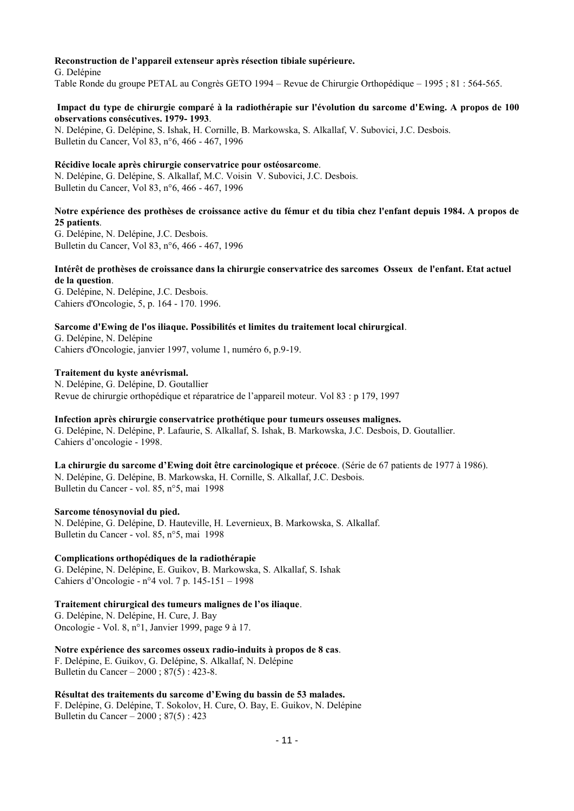#### **Reconstruction de l'appareil extenseur après résection tibiale supérieure.**

G. Delépine Table Ronde du groupe PETAL au Congrès GETO 1994 – Revue de Chirurgie Orthopédique – 1995 ; 81 : 564-565.

#### **Impact du type de chirurgie comparé à la radiothérapie sur l'évolution du sarcome d'Ewing. A propos de 100 observations consécutives. 1979- 1993**.

N. Delépine, G. Delépine, S. Ishak, H. Cornille, B. Markowska, S. Alkallaf, V. Subovici, J.C. Desbois. Bulletin du Cancer, Vol 83, n°6, 466 - 467, 1996

#### **Récidive locale après chirurgie conservatrice pour ostéosarcome**.

N. Delépine, G. Delépine, S. Alkallaf, M.C. Voisin V. Subovici, J.C. Desbois. Bulletin du Cancer, Vol 83, n°6, 466 - 467, 1996

### **Notre expérience des prothèses de croissance active du fémur et du tibia chez l'enfant depuis 1984. A propos de 25 patients**.

G. Delépine, N. Delépine, J.C. Desbois. Bulletin du Cancer, Vol 83, n°6, 466 - 467, 1996

### **Intérêt de prothèses de croissance dans la chirurgie conservatrice des sarcomes Osseux de l'enfant. Etat actuel de la question**.

G. Delépine, N. Delépine, J.C. Desbois. Cahiers d'Oncologie, 5, p. 164 - 170. 1996.

#### **Sarcome d'Ewing de l'os iliaque. Possibilités et limites du traitement local chirurgical**.

G. Delépine, N. Delépine Cahiers d'Oncologie, janvier 1997, volume 1, numéro 6, p.9-19.

### **Traitement du kyste anévrismal.**

N. Delépine, G. Delépine, D. Goutallier Revue de chirurgie orthopédique et réparatrice de l'appareil moteur. Vol 83 : p 179, 1997

#### **Infection après chirurgie conservatrice prothétique pour tumeurs osseuses malignes.**

G. Delépine, N. Delépine, P. Lafaurie, S. Alkallaf, S. Ishak, B. Markowska, J.C. Desbois, D. Goutallier. Cahiers d'oncologie - 1998.

**La chirurgie du sarcome d'Ewing doit être carcinologique et précoce**. (Série de 67 patients de 1977 à 1986). N. Delépine, G. Delépine, B. Markowska, H. Cornille, S. Alkallaf, J.C. Desbois. Bulletin du Cancer - vol. 85, n°5, mai 1998

#### **Sarcome ténosynovial du pied.**

N. Delépine, G. Delépine, D. Hauteville, H. Levernieux, B. Markowska, S. Alkallaf. Bulletin du Cancer - vol. 85, n°5, mai 1998

#### **Complications orthopédiques de la radiothérapie**

G. Delépine, N. Delépine, E. Guikov, B. Markowska, S. Alkallaf, S. Ishak Cahiers d'Oncologie - n°4 vol. 7 p. 145-151 – 1998

#### **Traitement chirurgical des tumeurs malignes de l'os iliaque**.

G. Delépine, N. Delépine, H. Cure, J. Bay Oncologie - Vol. 8, n°1, Janvier 1999, page 9 à 17.

### **Notre expérience des sarcomes osseux radio-induits à propos de 8 cas**.

F. Delépine, E. Guikov, G. Delépine, S. Alkallaf, N. Delépine Bulletin du Cancer – 2000 ; 87(5) : 423-8.

#### **Résultat des traitements du sarcome d'Ewing du bassin de 53 malades.**  F. Delépine, G. Delépine, T. Sokolov, H. Cure, O. Bay, E. Guikov, N. Delépine

Bulletin du Cancer – 2000 ; 87(5) : 423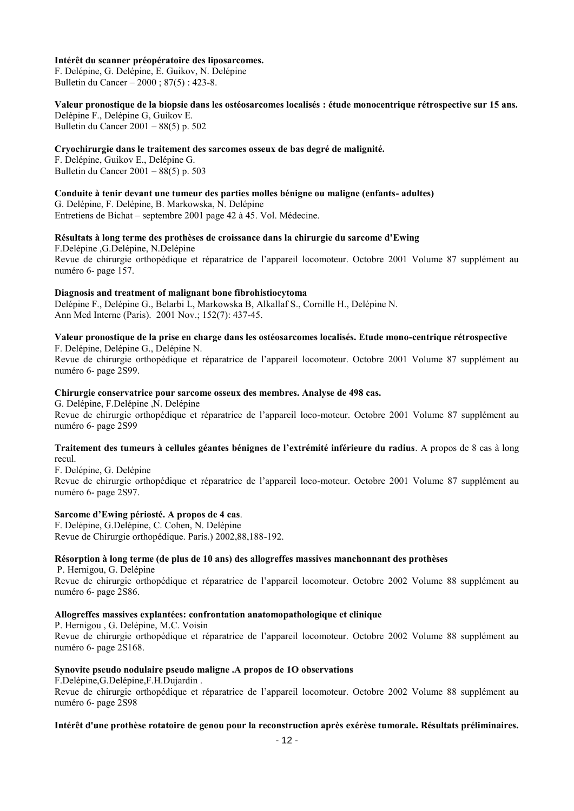#### **Intérêt du scanner préopératoire des liposarcomes.**

F. Delépine, G. Delépine, E. Guikov, N. Delépine Bulletin du Cancer – 2000 ; 87(5) : 423-8.

**Valeur pronostique de la biopsie dans les ostéosarcomes localisés : étude monocentrique rétrospective sur 15 ans.**  Delépine F., Delépine G, Guikov E. Bulletin du Cancer 2001 – 88(5) p. 502

#### **Cryochirurgie dans le traitement des sarcomes osseux de bas degré de malignité.**

F. Delépine, Guikov E., Delépine G. Bulletin du Cancer 2001 – 88(5) p. 503

**Conduite à tenir devant une tumeur des parties molles bénigne ou maligne (enfants- adultes)**  G. Delépine, F. Delépine, B. Markowska, N. Delépine Entretiens de Bichat – septembre 2001 page 42 à 45. Vol. Médecine.

### **Résultats à long terme des prothèses de croissance dans la chirurgie du sarcome d'Ewing**

F.Delépine ,G.Delépine, N.Delépine Revue de chirurgie orthopédique et réparatrice de l'appareil locomoteur. Octobre 2001 Volume 87 supplément au numéro 6- page 157.

#### **Diagnosis and treatment of malignant bone fibrohistiocytoma**

[Delépine F., Delépine G., Belarbi L, Markowska B, Alkallaf S., Cornille H., Delépine N.](http://www.ncbi.nlm.nih.gov/pubmed/11965084?ordinalpos=5&itool=EntrezSystem2.PEntrez.Pubmed.Pubmed_ResultsPanel.Pubmed_RVDocSum) Ann Med Interne (Paris). 2001 Nov.; 152(7): 437-45.

#### **Valeur pronostique de la prise en charge dans les ostéosarcomes localisés. Etude mono-centrique rétrospective**  F. Delépine, Delépine G., Delépine N.

Revue de chirurgie orthopédique et réparatrice de l'appareil locomoteur. Octobre 2001 Volume 87 supplément au numéro 6- page 2S99.

#### **Chirurgie conservatrice pour sarcome osseux des membres. Analyse de 498 cas.**

G. Delépine, F.Delépine ,N. Delépine

Revue de chirurgie orthopédique et réparatrice de l'appareil loco-moteur. Octobre 2001 Volume 87 supplément au numéro 6- page 2S99

#### **Traitement des tumeurs à cellules géantes bénignes de l'extrémité inférieure du radius**. A propos de 8 cas à long recul.

F. Delépine, G. Delépine

Revue de chirurgie orthopédique et réparatrice de l'appareil loco-moteur. Octobre 2001 Volume 87 supplément au numéro 6- page 2S97.

#### **Sarcome d'Ewing périosté. A propos de 4 cas**.

F. Delépine, G.Delépine, C. Cohen, N. Delépine Revue de Chirurgie orthopédique. Paris.) 2002,88,188-192.

#### **Résorption à long terme (de plus de 10 ans) des allogreffes massives manchonnant des prothèses**

P. Hernigou, G. Delépine

Revue de chirurgie orthopédique et réparatrice de l'appareil locomoteur. Octobre 2002 Volume 88 supplément au numéro 6- page 2S86.

#### **Allogreffes massives explantées: confrontation anatomopathologique et clinique**

P. Hernigou , G. Delépine, M.C. Voisin

Revue de chirurgie orthopédique et réparatrice de l'appareil locomoteur. Octobre 2002 Volume 88 supplément au numéro 6- page 2S168.

#### **Synovite pseudo nodulaire pseudo maligne .A propos de 1O observations**

F.Delépine,G.Delépine,F.H.Dujardin .

Revue de chirurgie orthopédique et réparatrice de l'appareil locomoteur. Octobre 2002 Volume 88 supplément au numéro 6- page 2S98

#### **Intérêt d'une prothèse rotatoire de genou pour la reconstruction après exérèse tumorale. Résultats préliminaires.**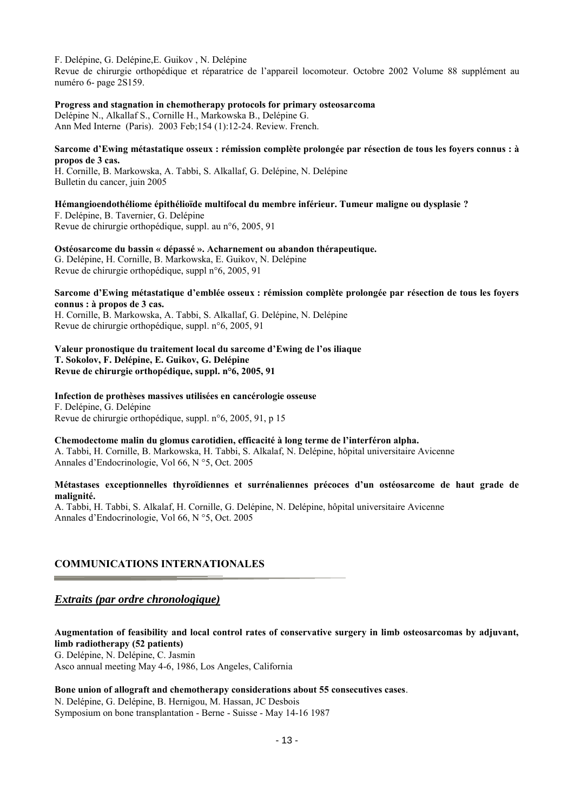F. Delépine, G. Delépine,E. Guikov , N. Delépine

Revue de chirurgie orthopédique et réparatrice de l'appareil locomoteur. Octobre 2002 Volume 88 supplément au numéro 6- page 2S159.

**Progress and stagnation in chemotherapy protocols for primary osteosarcoma** 

[Delépine N., Alkallaf S., Cornille H., Markowska B., Delépine G.](http://www.ncbi.nlm.nih.gov/pubmed/12746655?ordinalpos=2&itool=EntrezSystem2.PEntrez.Pubmed.Pubmed_ResultsPanel.Pubmed_RVDocSum) Ann Med Interne (Paris). 2003 Feb;154 (1):12-24. Review. French.

#### **Sarcome d'Ewing métastatique osseux : rémission complète prolongée par résection de tous les foyers connus : à propos de 3 cas.**

H. Cornille, B. Markowska, A. Tabbi, S. Alkallaf, G. Delépine, N. Delépine Bulletin du cancer, juin 2005

## **Hémangioendothéliome épithélioïde multifocal du membre inférieur. Tumeur maligne ou dysplasie ?**

F. Delépine, B. Tavernier, G. Delépine Revue de chirurgie orthopédique, suppl. au n°6, 2005, 91

**Ostéosarcome du bassin « dépassé ». Acharnement ou abandon thérapeutique.** 

G. Delépine, H. Cornille, B. Markowska, E. Guikov, N. Delépine Revue de chirurgie orthopédique, suppl n°6, 2005, 91

#### **Sarcome d'Ewing métastatique d'emblée osseux : rémission complète prolongée par résection de tous les foyers connus : à propos de 3 cas.**

H. Cornille, B. Markowska, A. Tabbi, S. Alkallaf, G. Delépine, N. Delépine Revue de chirurgie orthopédique, suppl. n°6, 2005, 91

**Valeur pronostique du traitement local du sarcome d'Ewing de l'os iliaque T. Sokolov, F. Delépine, E. Guikov, G. Delépine Revue de chirurgie orthopédique, suppl. n°6, 2005, 91** 

**Infection de prothèses massives utilisées en cancérologie osseuse**  F. Delépine, G. Delépine Revue de chirurgie orthopédique, suppl. n°6, 2005, 91, p 15

**Chemodectome malin du glomus carotidien, efficacité à long terme de l'interféron alpha.** 

A. Tabbi, H. Cornille, B. Markowska, H. Tabbi, S. Alkalaf, N. Delépine, hôpital universitaire Avicenne Annales d'Endocrinologie, Vol 66, N °5, Oct. 2005

#### **Métastases exceptionnelles thyroïdiennes et surrénaliennes précoces d'un ostéosarcome de haut grade de malignité.**

A. Tabbi, H. Tabbi, S. Alkalaf, H. Cornille, G. Delépine, N. Delépine, hôpital universitaire Avicenne Annales d'Endocrinologie, Vol 66, N °5, Oct. 2005

### **COMMUNICATIONS INTERNATIONALES**

### *Extraits (par ordre chronologique)*

**Augmentation of feasibility and local control rates of conservative surgery in limb osteosarcomas by adjuvant, limb radiotherapy (52 patients)**  G. Delépine, N. Delépine, C. Jasmin Asco annual meeting May 4-6, 1986, Los Angeles, California

#### **Bone union of allograft and chemotherapy considerations about 55 consecutives cases**.

N. Delépine, G. Delépine, B. Hernigou, M. Hassan, JC Desbois Symposium on bone transplantation - Berne - Suisse - May 14-16 1987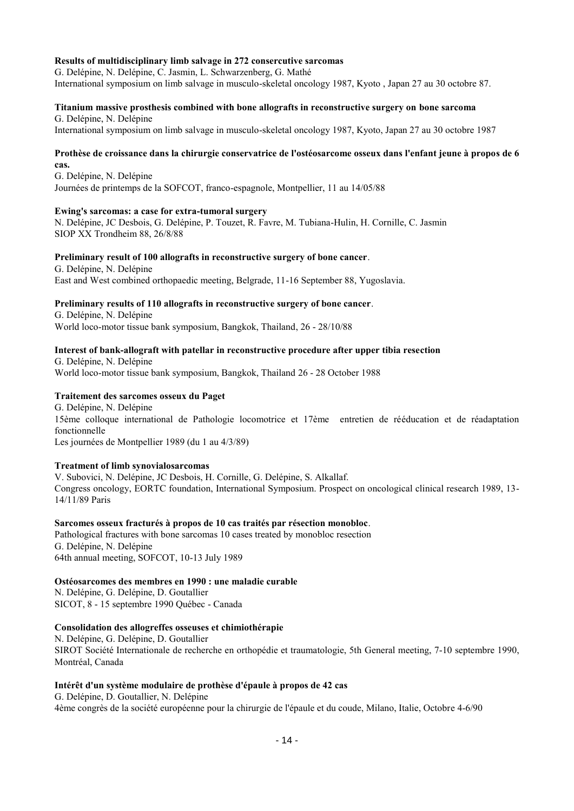#### **Results of multidisciplinary limb salvage in 272 consercutive sarcomas**

G. Delépine, N. Delépine, C. Jasmin, L. Schwarzenberg, G. Mathé International symposium on limb salvage in musculo-skeletal oncology 1987, Kyoto , Japan 27 au 30 octobre 87.

### **Titanium massive prosthesis combined with bone allografts in reconstructive surgery on bone sarcoma**

G. Delépine, N. Delépine International symposium on limb salvage in musculo-skeletal oncology 1987, Kyoto, Japan 27 au 30 octobre 1987

#### **Prothèse de croissance dans la chirurgie conservatrice de l'ostéosarcome osseux dans l'enfant jeune à propos de 6 cas.**

G. Delépine, N. Delépine Journées de printemps de la SOFCOT, franco-espagnole, Montpellier, 11 au 14/05/88

#### **Ewing's sarcomas: a case for extra-tumoral surgery**

N. Delépine, JC Desbois, G. Delépine, P. Touzet, R. Favre, M. Tubiana-Hulin, H. Cornille, C. Jasmin SIOP XX Trondheim 88, 26/8/88

#### **Preliminary result of 100 allografts in reconstructive surgery of bone cancer**.

G. Delépine, N. Delépine East and West combined orthopaedic meeting, Belgrade, 11-16 September 88, Yugoslavia.

### **Preliminary results of 110 allografts in reconstructive surgery of bone cancer**.

G. Delépine, N. Delépine World loco-motor tissue bank symposium, Bangkok, Thailand, 26 - 28/10/88

#### **Interest of bank-allograft with patellar in reconstructive procedure after upper tibia resection**

G. Delépine, N. Delépine World loco-motor tissue bank symposium, Bangkok, Thailand 26 - 28 October 1988

#### **Traitement des sarcomes osseux du Paget**

G. Delépine, N. Delépine 15ème colloque international de Pathologie locomotrice et 17ème entretien de rééducation et de réadaptation fonctionnelle Les journées de Montpellier 1989 (du 1 au 4/3/89)

#### **Treatment of limb synovialosarcomas**

V. Subovici, N. Delépine, JC Desbois, H. Cornille, G. Delépine, S. Alkallaf. Congress oncology, EORTC foundation, International Symposium. Prospect on oncological clinical research 1989, 13- 14/11/89 Paris

#### **Sarcomes osseux fracturés à propos de 10 cas traités par résection monobloc**.

Pathological fractures with bone sarcomas 10 cases treated by monobloc resection G. Delépine, N. Delépine 64th annual meeting, SOFCOT, 10-13 July 1989

#### **Ostéosarcomes des membres en 1990 : une maladie curable**

N. Delépine, G. Delépine, D. Goutallier SICOT, 8 - 15 septembre 1990 Québec - Canada

### **Consolidation des allogreffes osseuses et chimiothérapie**

N. Delépine, G. Delépine, D. Goutallier SIROT Société Internationale de recherche en orthopédie et traumatologie, 5th General meeting, 7-10 septembre 1990, Montréal, Canada

### **Intérêt d'un système modulaire de prothèse d'épaule à propos de 42 cas**

G. Delépine, D. Goutallier, N. Delépine 4ème congrès de la société européenne pour la chirurgie de l'épaule et du coude, Milano, Italie, Octobre 4-6/90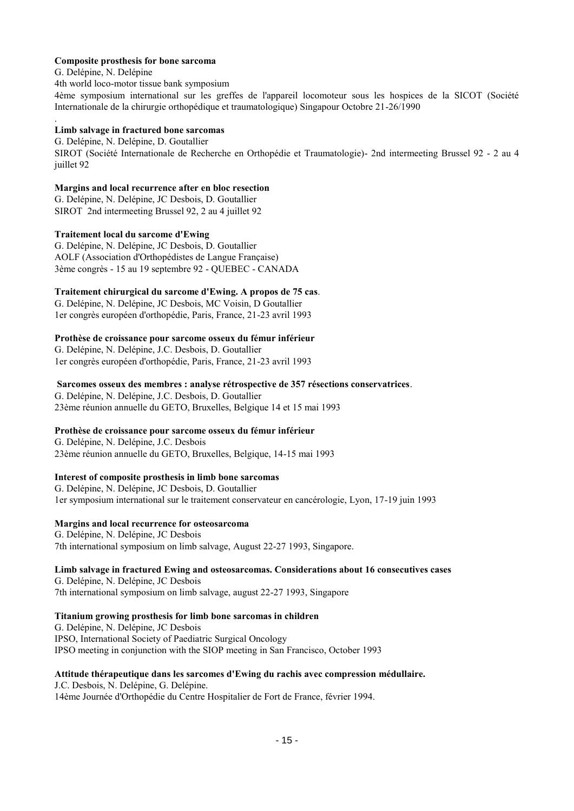#### **Composite prosthesis for bone sarcoma**

G. Delépine, N. Delépine

.

4th world loco-motor tissue bank symposium

4ème symposium international sur les greffes de l'appareil locomoteur sous les hospices de la SICOT (Société Internationale de la chirurgie orthopédique et traumatologique) Singapour Octobre 21-26/1990

#### **Limb salvage in fractured bone sarcomas**

G. Delépine, N. Delépine, D. Goutallier SIROT (Société Internationale de Recherche en Orthopédie et Traumatologie)- 2nd intermeeting Brussel 92 - 2 au 4 juillet 92

### **Margins and local recurrence after en bloc resection**

G. Delépine, N. Delépine, JC Desbois, D. Goutallier SIROT 2nd intermeeting Brussel 92, 2 au 4 juillet 92

### **Traitement local du sarcome d'Ewing**

G. Delépine, N. Delépine, JC Desbois, D. Goutallier AOLF (Association d'Orthopédistes de Langue Française) 3ème congrès - 15 au 19 septembre 92 - QUEBEC - CANADA

### **Traitement chirurgical du sarcome d'Ewing. A propos de 75 cas**.

G. Delépine, N. Delépine, JC Desbois, MC Voisin, D Goutallier 1er congrès européen d'orthopédie, Paris, France, 21-23 avril 1993

### **Prothèse de croissance pour sarcome osseux du fémur inférieur**

G. Delépine, N. Delépine, J.C. Desbois, D. Goutallier 1er congrès européen d'orthopédie, Paris, France, 21-23 avril 1993

### **Sarcomes osseux des membres : analyse rétrospective de 357 résections conservatrices**.

G. Delépine, N. Delépine, J.C. Desbois, D. Goutallier 23ème réunion annuelle du GETO, Bruxelles, Belgique 14 et 15 mai 1993

### **Prothèse de croissance pour sarcome osseux du fémur inférieur**

G. Delépine, N. Delépine, J.C. Desbois 23ème réunion annuelle du GETO, Bruxelles, Belgique, 14-15 mai 1993

### **Interest of composite prosthesis in limb bone sarcomas**

G. Delépine, N. Delépine, JC Desbois, D. Goutallier 1er symposium international sur le traitement conservateur en cancérologie, Lyon, 17-19 juin 1993

### **Margins and local recurrence for osteosarcoma**

G. Delépine, N. Delépine, JC Desbois 7th international symposium on limb salvage, August 22-27 1993, Singapore.

#### **Limb salvage in fractured Ewing and osteosarcomas. Considerations about 16 consecutives cases**  G. Delépine, N. Delépine, JC Desbois

7th international symposium on limb salvage, august 22-27 1993, Singapore

#### **Titanium growing prosthesis for limb bone sarcomas in children**

G. Delépine, N. Delépine, JC Desbois IPSO, International Society of Paediatric Surgical Oncology IPSO meeting in conjunction with the SIOP meeting in San Francisco, October 1993

## **Attitude thérapeutique dans les sarcomes d'Ewing du rachis avec compression médullaire.**

J.C. Desbois, N. Delépine, G. Delépine. 14ème Journée d'Orthopédie du Centre Hospitalier de Fort de France, février 1994.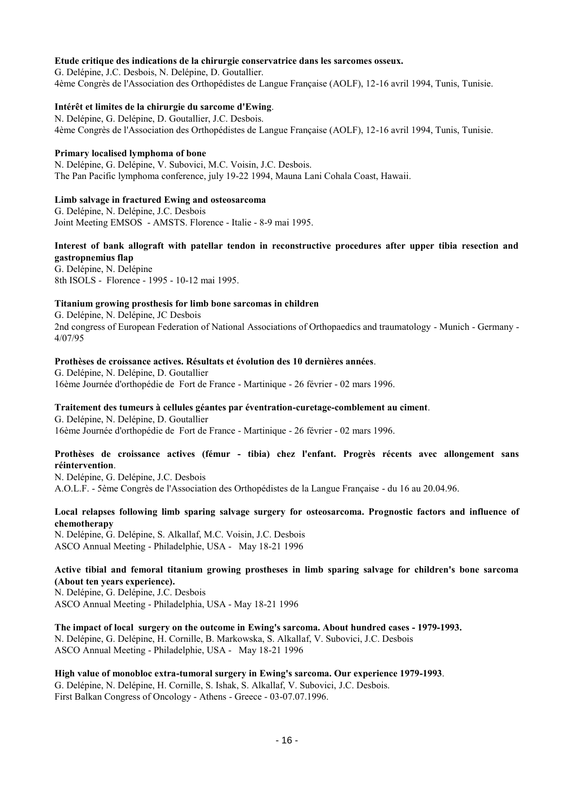#### **Etude critique des indications de la chirurgie conservatrice dans les sarcomes osseux.**

G. Delépine, J.C. Desbois, N. Delépine, D. Goutallier. 4ème Congrès de l'Association des Orthopédistes de Langue Française (AOLF), 12-16 avril 1994, Tunis, Tunisie.

#### **Intérêt et limites de la chirurgie du sarcome d'Ewing**.

N. Delépine, G. Delépine, D. Goutallier, J.C. Desbois. 4ème Congrès de l'Association des Orthopédistes de Langue Française (AOLF), 12-16 avril 1994, Tunis, Tunisie.

#### **Primary localised lymphoma of bone**

N. Delépine, G. Delépine, V. Subovici, M.C. Voisin, J.C. Desbois. The Pan Pacific lymphoma conference, july 19-22 1994, Mauna Lani Cohala Coast, Hawaii.

#### **Limb salvage in fractured Ewing and osteosarcoma**

G. Delépine, N. Delépine, J.C. Desbois Joint Meeting EMSOS - AMSTS. Florence - Italie - 8-9 mai 1995.

### **Interest of bank allograft with patellar tendon in reconstructive procedures after upper tibia resection and gastropnemius flap**

G. Delépine, N. Delépine 8th ISOLS - Florence - 1995 - 10-12 mai 1995.

#### **Titanium growing prosthesis for limb bone sarcomas in children**

G. Delépine, N. Delépine, JC Desbois 2nd congress of European Federation of National Associations of Orthopaedics and traumatology - Munich - Germany - 4/07/95

#### **Prothèses de croissance actives. Résultats et évolution des 10 dernières années**.

G. Delépine, N. Delépine, D. Goutallier 16ème Journée d'orthopédie de Fort de France - Martinique - 26 février - 02 mars 1996.

#### **Traitement des tumeurs à cellules géantes par éventration-curetage-comblement au ciment**.

G. Delépine, N. Delépine, D. Goutallier 16ème Journée d'orthopédie de Fort de France - Martinique - 26 février - 02 mars 1996.

#### **Prothèses de croissance actives (fémur - tibia) chez l'enfant. Progrès récents avec allongement sans réintervention**.

N. Delépine, G. Delépine, J.C. Desbois A.O.L.F. - 5ème Congrès de l'Association des Orthopédistes de la Langue Française - du 16 au 20.04.96.

### **Local relapses following limb sparing salvage surgery for osteosarcoma. Prognostic factors and influence of chemotherapy**

N. Delépine, G. Delépine, S. Alkallaf, M.C. Voisin, J.C. Desbois ASCO Annual Meeting - Philadelphie, USA - May 18-21 1996

### **Active tibial and femoral titanium growing prostheses in limb sparing salvage for children's bone sarcoma (About ten years experience).**

N. Delépine, G. Delépine, J.C. Desbois ASCO Annual Meeting - Philadelphia, USA - May 18-21 1996

**The impact of local surgery on the outcome in Ewing's sarcoma. About hundred cases - 1979-1993.**  N. Delépine, G. Delépine, H. Cornille, B. Markowska, S. Alkallaf, V. Subovici, J.C. Desbois ASCO Annual Meeting - Philadelphie, USA - May 18-21 1996

#### **High value of monobloc extra-tumoral surgery in Ewing's sarcoma. Our experience 1979-1993**. G. Delépine, N. Delépine, H. Cornille, S. Ishak, S. Alkallaf, V. Subovici, J.C. Desbois. First Balkan Congress of Oncology - Athens - Greece - 03-07.07.1996.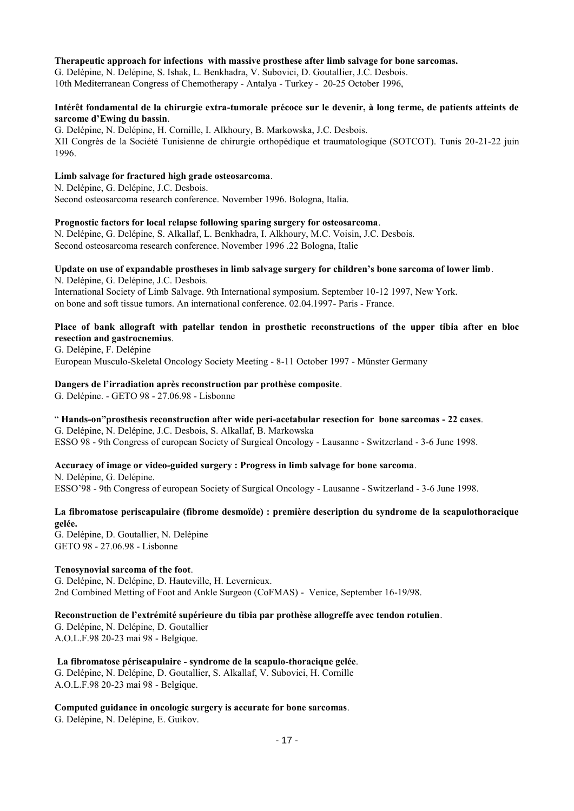#### **Therapeutic approach for infections with massive prosthese after limb salvage for bone sarcomas.**

G. Delépine, N. Delépine, S. Ishak, L. Benkhadra, V. Subovici, D. Goutallier, J.C. Desbois. 10th Mediterranean Congress of Chemotherapy - Antalya - Turkey - 20-25 October 1996,

#### **Intérêt fondamental de la chirurgie extra-tumorale précoce sur le devenir, à long terme, de patients atteints de sarcome d'Ewing du bassin**.

G. Delépine, N. Delépine, H. Cornille, I. Alkhoury, B. Markowska, J.C. Desbois. XII Congrès de la Société Tunisienne de chirurgie orthopédique et traumatologique (SOTCOT). Tunis 20-21-22 juin 1996.

### **Limb salvage for fractured high grade osteosarcoma**.

N. Delépine, G. Delépine, J.C. Desbois. Second osteosarcoma research conference. November 1996. Bologna, Italia.

#### **Prognostic factors for local relapse following sparing surgery for osteosarcoma**.

N. Delépine, G. Delépine, S. Alkallaf, L. Benkhadra, I. Alkhoury, M.C. Voisin, J.C. Desbois. Second osteosarcoma research conference. November 1996 .22 Bologna, Italie

#### **Update on use of expandable prostheses in limb salvage surgery for children's bone sarcoma of lower limb**. N. Delépine, G. Delépine, J.C. Desbois.

International Society of Limb Salvage. 9th International symposium. September 10-12 1997, New York. on bone and soft tissue tumors. An international conference. 02.04.1997- Paris - France.

### **Place of bank allograft with patellar tendon in prosthetic reconstructions of the upper tibia after en bloc resection and gastrocnemius**.

G. Delépine, F. Delépine European Musculo-Skeletal Oncology Society Meeting - 8-11 October 1997 - Münster Germany

### **Dangers de l'irradiation après reconstruction par prothèse composite**.

G. Delépine. - GETO 98 - 27.06.98 - Lisbonne

### " **Hands-on"prosthesis reconstruction after wide peri-acetabular resection for bone sarcomas - 22 cases**.

G. Delépine, N. Delépine, J.C. Desbois, S. Alkallaf, B. Markowska ESSO 98 - 9th Congress of european Society of Surgical Oncology - Lausanne - Switzerland - 3-6 June 1998.

### **Accuracy of image or video-guided surgery : Progress in limb salvage for bone sarcoma**.

N. Delépine, G. Delépine. ESSO'98 - 9th Congress of european Society of Surgical Oncology - Lausanne - Switzerland - 3-6 June 1998.

#### **La fibromatose periscapulaire (fibrome desmoïde) : première description du syndrome de la scapulothoracique gelée.**

G. Delépine, D. Goutallier, N. Delépine GETO 98 - 27.06.98 - Lisbonne

#### **Tenosynovial sarcoma of the foot**.

G. Delépine, N. Delépine, D. Hauteville, H. Levernieux. 2nd Combined Metting of Foot and Ankle Surgeon (CoFMAS) - Venice, September 16-19/98.

### **Reconstruction de l'extrémité supérieure du tibia par prothèse allogreffe avec tendon rotulien**.

G. Delépine, N. Delépine, D. Goutallier A.O.L.F.98 20-23 mai 98 - Belgique.

#### **La fibromatose périscapulaire - syndrome de la scapulo-thoracique gelée**. G. Delépine, N. Delépine, D. Goutallier, S. Alkallaf, V. Subovici, H. Cornille A.O.L.F.98 20-23 mai 98 - Belgique.

### **Computed guidance in oncologic surgery is accurate for bone sarcomas**.

G. Delépine, N. Delépine, E. Guikov.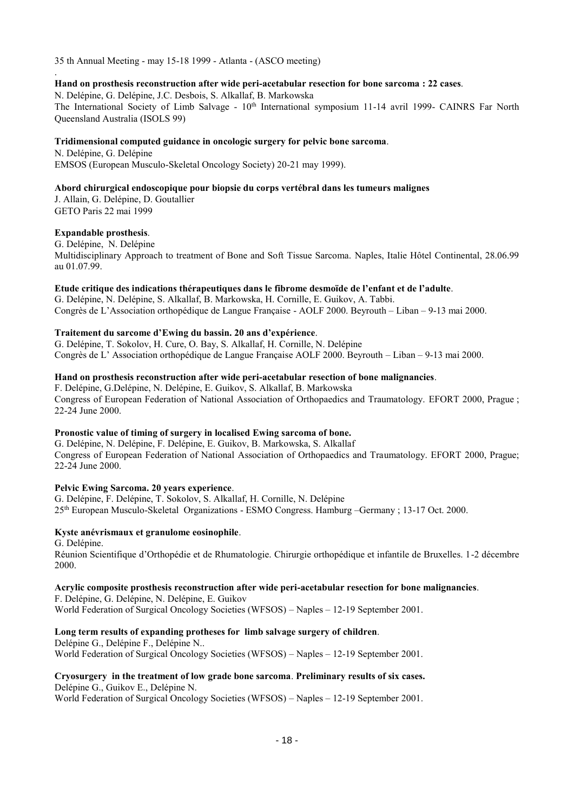35 th Annual Meeting - may 15-18 1999 - Atlanta - (ASCO meeting)

#### **Hand on prosthesis reconstruction after wide peri-acetabular resection for bone sarcoma : 22 cases**.

N. Delépine, G. Delépine, J.C. Desbois, S. Alkallaf, B. Markowska The International Society of Limb Salvage - 10<sup>th</sup> International symposium 11-14 avril 1999- CAINRS Far North Queensland Australia (ISOLS 99)

#### **Tridimensional computed guidance in oncologic surgery for pelvic bone sarcoma**.

N. Delépine, G. Delépine EMSOS (European Musculo-Skeletal Oncology Society) 20-21 may 1999).

### **Abord chirurgical endoscopique pour biopsie du corps vertébral dans les tumeurs malignes**

J. Allain, G. Delépine, D. Goutallier GETO Paris 22 mai 1999

#### **Expandable prosthesis**.

.

G. Delépine, N. Delépine Multidisciplinary Approach to treatment of Bone and Soft Tissue Sarcoma. Naples, Italie Hôtel Continental, 28.06.99 au 01.07.99.

### **Etude critique des indications thérapeutiques dans le fibrome desmoïde de l'enfant et de l'adulte**.

G. Delépine, N. Delépine, S. Alkallaf, B. Markowska, H. Cornille, E. Guikov, A. Tabbi. Congrès de L'Association orthopédique de Langue Française - AOLF 2000. Beyrouth – Liban – 9-13 mai 2000.

#### **Traitement du sarcome d'Ewing du bassin. 20 ans d'expérience**.

G. Delépine, T. Sokolov, H. Cure, O. Bay, S. Alkallaf, H. Cornille, N. Delépine Congrès de L' Association orthopédique de Langue Française AOLF 2000. Beyrouth – Liban – 9-13 mai 2000.

### **Hand on prosthesis reconstruction after wide peri-acetabular resection of bone malignancies**.

F. Delépine, G.Delépine, N. Delépine, E. Guikov, S. Alkallaf, B. Markowska Congress of European Federation of National Association of Orthopaedics and Traumatology. EFORT 2000, Prague ; 22-24 June 2000.

#### **Pronostic value of timing of surgery in localised Ewing sarcoma of bone.**

G. Delépine, N. Delépine, F. Delépine, E. Guikov, B. Markowska, S. Alkallaf Congress of European Federation of National Association of Orthopaedics and Traumatology. EFORT 2000, Prague; 22-24 June 2000.

### **Pelvic Ewing Sarcoma. 20 years experience**.

G. Delépine, F. Delépine, T. Sokolov, S. Alkallaf, H. Cornille, N. Delépine 25th European Musculo-Skeletal Organizations - ESMO Congress. Hamburg –Germany ; 13-17 Oct. 2000.

### **Kyste anévrismaux et granulome eosinophile**.

G. Delépine. Réunion Scientifique d'Orthopédie et de Rhumatologie. Chirurgie orthopédique et infantile de Bruxelles. 1-2 décembre 2000.

#### **Acrylic composite prosthesis reconstruction after wide peri-acetabular resection for bone malignancies**.

F. Delépine, G. Delépine, N. Delépine, E. Guikov World Federation of Surgical Oncology Societies (WFSOS) – Naples – 12-19 September 2001.

### **Long term results of expanding protheses for limb salvage surgery of children**.

Delépine G., Delépine F., Delépine N.. World Federation of Surgical Oncology Societies (WFSOS) – Naples – 12-19 September 2001.

#### **Cryosurgery in the treatment of low grade bone sarcoma**. **Preliminary results of six cases.** Delépine G., Guikov E., Delépine N.

World Federation of Surgical Oncology Societies (WFSOS) – Naples – 12-19 September 2001.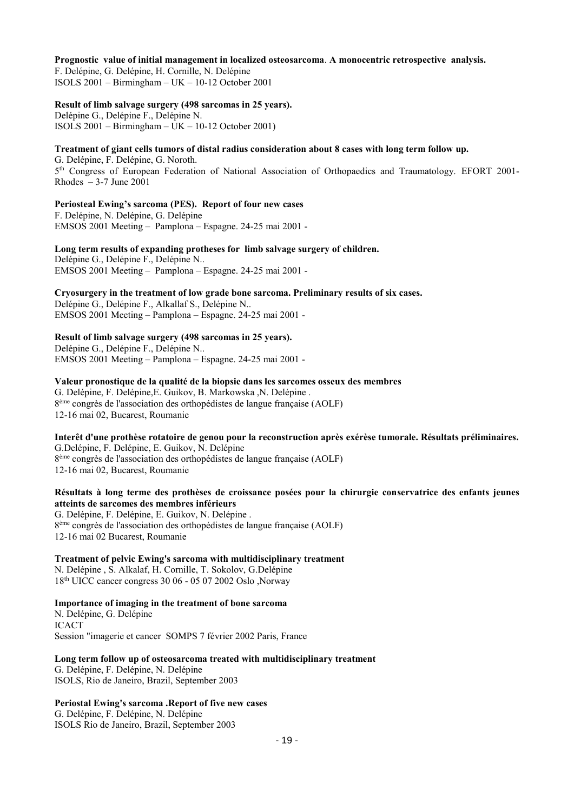#### **Prognostic value of initial management in localized osteosarcoma**. **A monocentric retrospective analysis.**

F. Delépine, G. Delépine, H. Cornille, N. Delépine ISOLS 2001 – Birmingham – UK – 10-12 October 2001

#### **Result of limb salvage surgery (498 sarcomas in 25 years).**

Delépine G., Delépine F., Delépine N. ISOLS 2001 – Birmingham – UK – 10-12 October 2001)

#### **Treatment of giant cells tumors of distal radius consideration about 8 cases with long term follow up.**

G. Delépine, F. Delépine, G. Noroth. 5 th Congress of European Federation of National Association of Orthopaedics and Traumatology. EFORT 2001- Rhodes  $-3-7$  June 2001

### **Periosteal Ewing's sarcoma (PES). Report of four new cases**

F. Delépine, N. Delépine, G. Delépine EMSOS 2001 Meeting – Pamplona – Espagne. 24-25 mai 2001 -

**Long term results of expanding protheses for limb salvage surgery of children.**  Delépine G., Delépine F., Delépine N.. EMSOS 2001 Meeting – Pamplona – Espagne. 24-25 mai 2001 -

#### **Cryosurgery in the treatment of low grade bone sarcoma. Preliminary results of six cases.**  Delépine G., Delépine F., Alkallaf S., Delépine N.. EMSOS 2001 Meeting – Pamplona – Espagne. 24-25 mai 2001 -

#### **Result of limb salvage surgery (498 sarcomas in 25 years).**

Delépine G., Delépine F., Delépine N.. EMSOS 2001 Meeting – Pamplona – Espagne. 24-25 mai 2001 -

#### **Valeur pronostique de la qualité de la biopsie dans les sarcomes osseux des membres**  G. Delépine, F. Delépine,E. Guikov, B. Markowska ,N. Delépine . 8 ème congrès de l'association des orthopédistes de langue française (AOLF) 12-16 mai 02, Bucarest, Roumanie

**Interêt d'une prothèse rotatoire de genou pour la reconstruction après exérèse tumorale. Résultats préliminaires.** G.Delépine, F. Delépine, E. Guikov, N. Delépine 8 ème congrès de l'association des orthopédistes de langue française (AOLF) 12-16 mai 02, Bucarest, Roumanie

### **Résultats à long terme des prothèses de croissance posées pour la chirurgie conservatrice des enfants jeunes atteints de sarcomes des membres inférieurs**

G. Delépine, F. Delépine, E. Guikov, N. Delépine . 8 ème congrès de l'association des orthopédistes de langue française (AOLF) 12-16 mai 02 Bucarest, Roumanie

### **Treatment of pelvic Ewing's sarcoma with multidisciplinary treatment**

N. Delépine , S. Alkalaf, H. Cornille, T. Sokolov, G.Delépine 18th UICC cancer congress 30 06 - 05 07 2002 Oslo ,Norway

#### **Importance of imaging in the treatment of bone sarcoma**

N. Delépine, G. Delépine ICACT Session "imagerie et cancer SOMPS 7 février 2002 Paris, France

## **Long term follow up of osteosarcoma treated with multidisciplinary treatment**

G. Delépine, F. Delépine, N. Delépine ISOLS, Rio de Janeiro, Brazil, September 2003

### **Periostal Ewing's sarcoma .Report of five new cases**

G. Delépine, F. Delépine, N. Delépine ISOLS Rio de Janeiro, Brazil, September 2003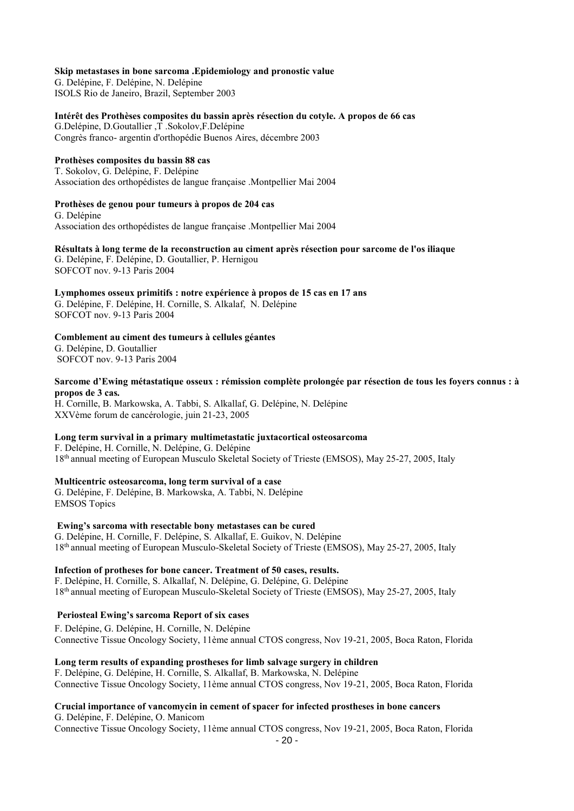**Skip metastases in bone sarcoma .Epidemiology and pronostic value** 

G. Delépine, F. Delépine, N. Delépine ISOLS Rio de Janeiro, Brazil, September 2003

**Intérêt des Prothèses composites du bassin après résection du cotyle. A propos de 66 cas** 

G.Delépine, D.Goutallier ,T .Sokolov,F.Delépine Congrès franco- argentin d'orthopédie Buenos Aires, décembre 2003

#### **Prothèses composites du bassin 88 cas**

T. Sokolov, G. Delépine, F. Delépine Association des orthopédistes de langue française .Montpellier Mai 2004

#### **Prothèses de genou pour tumeurs à propos de 204 cas**

G. Delépine Association des orthopédistes de langue française .Montpellier Mai 2004

**Résultats à long terme de la reconstruction au ciment après résection pour sarcome de l'os iliaque**  G. Delépine, F. Delépine, D. Goutallier, P. Hernigou SOFCOT nov. 9-13 Paris 2004

### **Lymphomes osseux primitifs : notre expérience à propos de 15 cas en 17 ans**

G. Delépine, F. Delépine, H. Cornille, S. Alkalaf, N. Delépine SOFCOT nov. 9-13 Paris 2004

#### **Comblement au ciment des tumeurs à cellules géantes**

G. Delépine, D. Goutallier SOFCOT nov. 9-13 Paris 2004

**Sarcome d'Ewing métastatique osseux : rémission complète prolongée par résection de tous les foyers connus : à propos de 3 cas***.* 

H. Cornille, B. Markowska, A. Tabbi, S. Alkallaf, G. Delépine, N. Delépine XXVème forum de cancérologie, juin 21-23, 2005

### **Long term survival in a primary multimetastatic juxtacortical osteosarcoma**

F. Delépine, H. Cornille, N. Delépine, G. Delépine 18th annual meeting of European Musculo Skeletal Society of Trieste (EMSOS), May 25-27, 2005, Italy

#### **Multicentric osteosarcoma, long term survival of a case**

G. Delépine, F. Delépine, B. Markowska, A. Tabbi, N. Delépine EMSOS Topics

### **Ewing's sarcoma with resectable bony metastases can be cured**

G. Delépine, H. Cornille, F. Delépine, S. Alkallaf, E. Guikov, N. Delépine 18th annual meeting of European Musculo-Skeletal Society of Trieste (EMSOS), May 25-27, 2005, Italy

#### **Infection of protheses for bone cancer. Treatment of 50 cases, results.**

F. Delépine, H. Cornille, S. Alkallaf, N. Delépine, G. Delépine, G. Delépine 18th annual meeting of European Musculo-Skeletal Society of Trieste (EMSOS), May 25-27, 2005, Italy

### **Periosteal Ewing's sarcoma Report of six cases**

F. Delépine, G. Delépine, H. Cornille, N. Delépine Connective Tissue Oncology Society, 11ème annual CTOS congress, Nov 19-21, 2005, Boca Raton, Florida

#### **Long term results of expanding prostheses for limb salvage surgery in children**

F. Delépine, G. Delépine, H. Cornille, S. Alkallaf, B. Markowska, N. Delépine Connective Tissue Oncology Society, 11ème annual CTOS congress, Nov 19-21, 2005, Boca Raton, Florida

## **Crucial importance of vancomycin in cement of spacer for infected prostheses in bone cancers**

G. Delépine, F. Delépine, O. Manicom Connective Tissue Oncology Society, 11ème annual CTOS congress, Nov 19-21, 2005, Boca Raton, Florida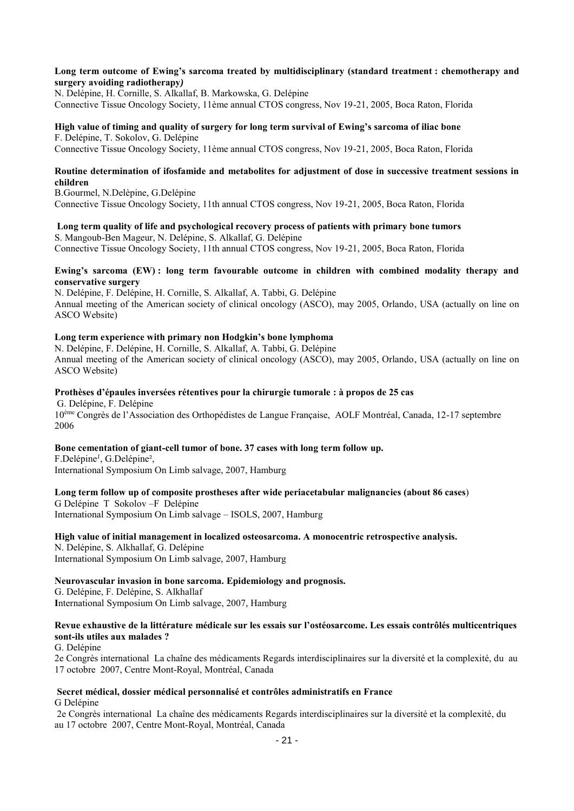#### **Long term outcome of Ewing's sarcoma treated by multidisciplinary (standard treatment : chemotherapy and surgery avoiding radiotherapy***)*

N. Delépine, H. Cornille, S. Alkallaf, B. Markowska, G. Delépine Connective Tissue Oncology Society, 11ème annual CTOS congress, Nov 19-21, 2005, Boca Raton, Florida

#### **High value of timing and quality of surgery for long term survival of Ewing's sarcoma of iliac bone**  F. Delépine, T. Sokolov, G. Delépine

Connective Tissue Oncology Society, 11ème annual CTOS congress, Nov 19-21, 2005, Boca Raton, Florida

#### **Routine determination of ifosfamide and metabolites for adjustment of dose in successive treatment sessions in children**

B.Gourmel, N.Delèpine, G.Delépine Connective Tissue Oncology Society, 11th annual CTOS congress, Nov 19-21, 2005, Boca Raton, Florida

 **Long term quality of life and psychological recovery process of patients with primary bone tumors**  S. Mangoub-Ben Mageur, N. Delépine, S. Alkallaf, G. Delépine

## Connective Tissue Oncology Society, 11th annual CTOS congress, Nov 19-21, 2005, Boca Raton, Florida

#### **Ewing's sarcoma (EW) : long term favourable outcome in children with combined modality therapy and conservative surgery**

N. Delépine, F. Delépine, H. Cornille, S. Alkallaf, A. Tabbi, G. Delépine Annual meeting of the American society of clinical oncology (ASCO), may 2005, Orlando, USA (actually on line on ASCO Website)

### **Long term experience with primary non Hodgkin's bone lymphoma**

N. Delépine, F. Delépine, H. Cornille, S. Alkallaf, A. Tabbi, G. Delépine Annual meeting of the American society of clinical oncology (ASCO), may 2005, Orlando, USA (actually on line on ASCO Website)

#### **Prothèses d'épaules inversées rétentives pour la chirurgie tumorale : à propos de 25 cas**

 G. Delépine, F. Delépine 10ème Congrès de l'Association des Orthopédistes de Langue Française, AOLF Montréal, Canada, 12-17 septembre 2006

#### **Bone cementation of giant-cell tumor of bone. 37 cases with long term follow up.**

F.Delépine*<sup>1</sup>* , G.Delépine², International Symposium On Limb salvage, 2007, Hamburg

#### **Long term follow up of composite prostheses after wide periacetabular malignancies (about 86 cases**)

#### G Delépine T Sokolov –F Delépine

International Symposium On Limb salvage – ISOLS, 2007, Hamburg

#### **High value of initial management in localized osteosarcoma. A monocentric retrospective analysis.**

N. Delépine, S. Alkhallaf, G. Delépine International Symposium On Limb salvage, 2007, Hamburg

#### **Neurovascular invasion in bone sarcoma. Epidemiology and prognosis.**

G. Delépine, F. Delépine, S. Alkhallaf **I**nternational Symposium On Limb salvage, 2007, Hamburg

#### **Revue exhaustive de la littérature médicale sur les essais sur l'ostéosarcome. Les essais contrôlés multicentriques sont-ils utiles aux malades ?**

G. Delépine

2e Congrès international La chaîne des médicaments Regards interdisciplinaires sur la diversité et la complexité, du au 17 octobre 2007, Centre Mont-Royal, Montréal, Canada

#### **Secret médical, dossier médical personnalisé et contrôles administratifs en France** G Delépine

 2e Congrès international La chaîne des médicaments Regards interdisciplinaires sur la diversité et la complexité, du au 17 octobre 2007, Centre Mont-Royal, Montréal, Canada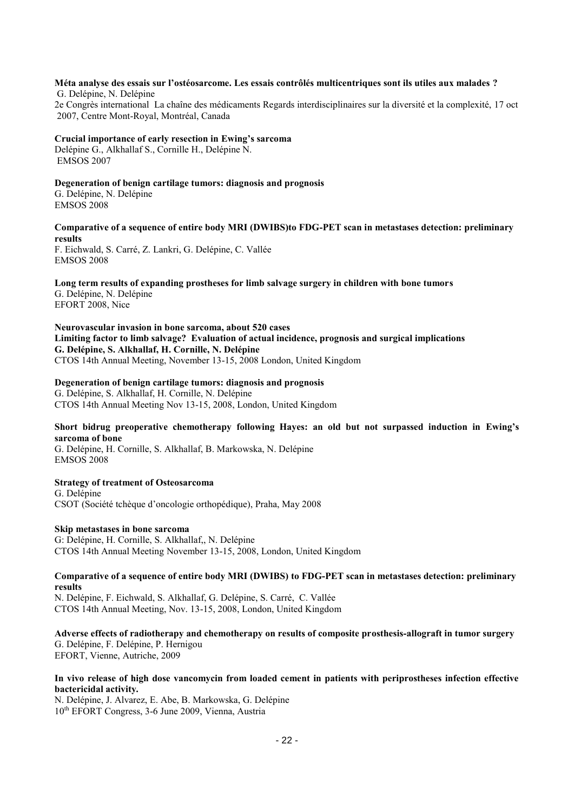## **Méta analyse des essais sur l'ostéosarcome. Les essais contrôlés multicentriques sont ils utiles aux malades ?**

 G. Delépine, N. Delépine 2e Congrès international La chaîne des médicaments Regards interdisciplinaires sur la diversité et la complexité, 17 oct 2007, Centre Mont-Royal, Montréal, Canada

### **Crucial importance of early resection in Ewing's sarcoma**

Delépine G., Alkhallaf S., Cornille H., Delépine N. EMSOS 2007

### **Degeneration of benign cartilage tumors: diagnosis and prognosis**

G. Delépine, N. Delépine EMSOS 2008

### **Comparative of a sequence of entire body MRI (DWIBS)to FDG-PET scan in metastases detection: preliminary results**

F. Eichwald, S. Carré, Z. Lankri, G. Delépine, C. Vallée EMSOS 2008

#### **Long term results of expanding prostheses for limb salvage surgery in children with bone tumors** G. Delépine, N. Delépine

EFORT 2008, Nice

#### **Neurovascular invasion in bone sarcoma, about 520 cases Limiting factor to limb salvage? Evaluation of actual incidence, prognosis and surgical implications G. Delépine, S. Alkhallaf, H. Cornille, N. Delépine** CTOS 14th Annual Meeting, November 13-15, 2008 London, United Kingdom

### **Degeneration of benign cartilage tumors: diagnosis and prognosis**

G. Delépine, S. Alkhallaf, H. Cornille, N. Delépine CTOS 14th Annual Meeting Nov 13-15, 2008, London, United Kingdom

### **Short bidrug preoperative chemotherapy following Hayes: an old but not surpassed induction in Ewing's sarcoma of bone**

G. Delépine, H. Cornille, S. Alkhallaf, B. Markowska, N. Delépine EMSOS 2008

### **Strategy of treatment of Osteosarcoma**

G. Delépine CSOT (Société tchèque d'oncologie orthopédique), Praha, May 2008

### **Skip metastases in bone sarcoma**

G: Delépine, H. Cornille, S. Alkhallaf,, N. Delépine CTOS 14th Annual Meeting November 13-15, 2008, London, United Kingdom

#### **Comparative of a sequence of entire body MRI (DWIBS) to FDG-PET scan in metastases detection: preliminary results**

N. Delépine, F. Eichwald, S. Alkhallaf, G. Delépine, S. Carré, C. Vallée CTOS 14th Annual Meeting, Nov. 13-15, 2008, London, United Kingdom

#### **Adverse effects of radiotherapy and chemotherapy on results of composite prosthesis-allograft in tumor surgery**  G. Delépine, F. Delépine, P. Hernigou EFORT, Vienne, Autriche, 2009

#### **In vivo release of high dose vancomycin from loaded cement in patients with periprostheses infection effective bactericidal activity***.*

N. Delépine, J. Alvarez, E. Abe, B. Markowska, G. Delépine 10th EFORT Congress, 3-6 June 2009, Vienna, Austria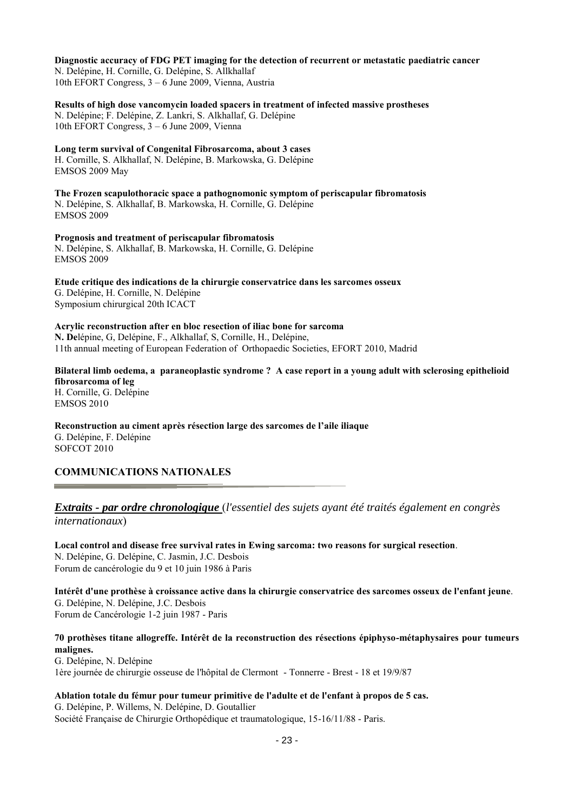#### **Diagnostic accuracy of FDG PET imaging for the detection of recurrent or metastatic paediatric cancer**

N. Delépine, H. Cornille, G. Delépine, S. Allkhallaf 10th EFORT Congress, 3 – 6 June 2009, Vienna, Austria

**Results of high dose vancomycin loaded spacers in treatment of infected massive prostheses**  N. Delépine; F. Delépine, Z. Lankri, S. Alkhallaf, G. Delépine 10th EFORT Congress, 3 – 6 June 2009, Vienna

**Long term survival of Congenital Fibrosarcoma, about 3 cases** H. Cornille, S. Alkhallaf, N. Delépine, B. Markowska, G. Delépine EMSOS 2009 May

**The Frozen scapulothoracic space a pathognomonic symptom of periscapular fibromatosis**  N. Delépine, S. Alkhallaf, B. Markowska, H. Cornille, G. Delépine EMSOS 2009

**Prognosis and treatment of periscapular fibromatosis**  N. Delépine, S. Alkhallaf, B. Markowska, H. Cornille, G. Delépine EMSOS 2009

**Etude critique des indications de la chirurgie conservatrice dans les sarcomes osseux**  G. Delépine, H. Cornille, N. Delépine Symposium chirurgical 20th ICACT

**Acrylic reconstruction after en bloc resection of iliac bone for sarcoma N. De**lépine, G, Delépine, F., Alkhallaf, S, Cornille, H., Delépine, 11th annual meeting of European Federation of Orthopaedic Societies, EFORT 2010, Madrid

**Bilateral limb oedema, a paraneoplastic syndrome ? A case report in a young adult with sclerosing epithelioid fibrosarcoma of leg**  H. Cornille, G. Delépine

EMSOS 2010

**Reconstruction au ciment après résection large des sarcomes de l'aile iliaque**  G. Delépine, F. Delépine SOFCOT 2010

## **COMMUNICATIONS NATIONALES**

### *Extraits - par ordre chronologique* (*l'essentiel des sujets ayant été traités également en congrès internationaux*)

**Local control and disease free survival rates in Ewing sarcoma: two reasons for surgical resection**. N. Delépine, G. Delépine, C. Jasmin, J.C. Desbois Forum de cancérologie du 9 et 10 juin 1986 à Paris

**Intérêt d'une prothèse à croissance active dans la chirurgie conservatrice des sarcomes osseux de l'enfant jeune**. G. Delépine, N. Delépine, J.C. Desbois Forum de Cancérologie 1-2 juin 1987 - Paris

### **70 prothèses titane allogreffe. Intérêt de la reconstruction des résections épiphyso-métaphysaires pour tumeurs malignes.**

G. Delépine, N. Delépine 1ère journée de chirurgie osseuse de l'hôpital de Clermont - Tonnerre - Brest - 18 et 19/9/87

**Ablation totale du fémur pour tumeur primitive de l'adulte et de l'enfant à propos de 5 cas.**  G. Delépine, P. Willems, N. Delépine, D. Goutallier Société Française de Chirurgie Orthopédique et traumatologique, 15-16/11/88 - Paris.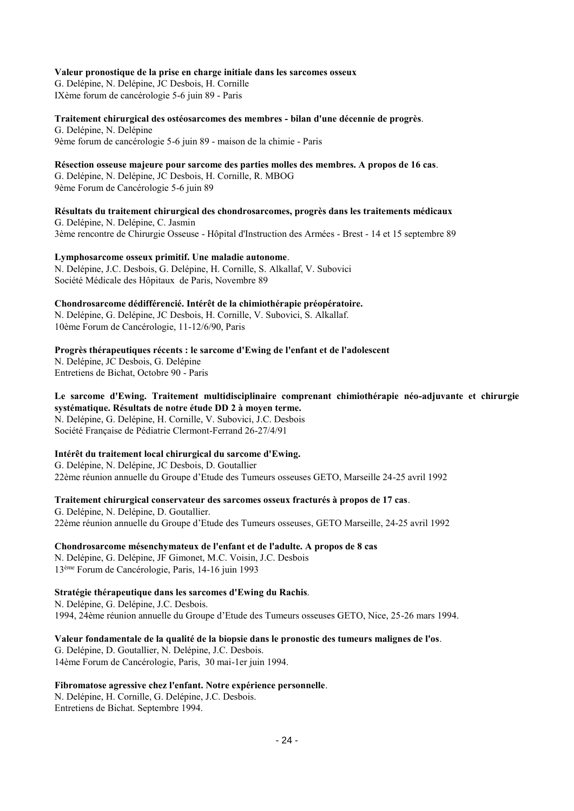#### **Valeur pronostique de la prise en charge initiale dans les sarcomes osseux**

G. Delépine, N. Delépine, JC Desbois, H. Cornille IXème forum de cancérologie 5-6 juin 89 - Paris

**Traitement chirurgical des ostéosarcomes des membres - bilan d'une décennie de progrès**. G. Delépine, N. Delépine

9ème forum de cancérologie 5-6 juin 89 - maison de la chimie - Paris

### **Résection osseuse majeure pour sarcome des parties molles des membres. A propos de 16 cas**.

G. Delépine, N. Delépine, JC Desbois, H. Cornille, R. MBOG 9ème Forum de Cancérologie 5-6 juin 89

**Résultats du traitement chirurgical des chondrosarcomes, progrès dans les traitements médicaux**  G. Delépine, N. Delépine, C. Jasmin 3ème rencontre de Chirurgie Osseuse - Hôpital d'Instruction des Armées - Brest - 14 et 15 septembre 89

**Lymphosarcome osseux primitif. Une maladie autonome**.

N. Delépine, J.C. Desbois, G. Delépine, H. Cornille, S. Alkallaf, V. Subovici Société Médicale des Hôpitaux de Paris, Novembre 89

**Chondrosarcome dédifférencié. Intérêt de la chimiothérapie préopératoire.** N. Delépine, G. Delépine, JC Desbois, H. Cornille, V. Subovici, S. Alkallaf.

10ème Forum de Cancérologie, 11-12/6/90, Paris

**Progrès thérapeutiques récents : le sarcome d'Ewing de l'enfant et de l'adolescent** 

N. Delépine, JC Desbois, G. Delépine Entretiens de Bichat, Octobre 90 - Paris

### **Le sarcome d'Ewing. Traitement multidisciplinaire comprenant chimiothérapie néo-adjuvante et chirurgie systématique. Résultats de notre étude DD 2 à moyen terme.**

N. Delépine, G. Delépine, H. Cornille, V. Subovici, J.C. Desbois Société Française de Pédiatrie Clermont-Ferrand 26-27/4/91

### **Intérêt du traitement local chirurgical du sarcome d'Ewing.**

G. Delépine, N. Delépine, JC Desbois, D. Goutallier 22ème réunion annuelle du Groupe d'Etude des Tumeurs osseuses GETO, Marseille 24-25 avril 1992

### **Traitement chirurgical conservateur des sarcomes osseux fracturés à propos de 17 cas**.

G. Delépine, N. Delépine, D. Goutallier. 22ème réunion annuelle du Groupe d'Etude des Tumeurs osseuses, GETO Marseille, 24-25 avril 1992

**Chondrosarcome mésenchymateux de l'enfant et de l'adulte. A propos de 8 cas**

N. Delépine, G. Delépine, JF Gimonet, M.C. Voisin, J.C. Desbois 13ème Forum de Cancérologie, Paris, 14-16 juin 1993

### **Stratégie thérapeutique dans les sarcomes d'Ewing du Rachis**.

N. Delépine, G. Delépine, J.C. Desbois. 1994, 24ème réunion annuelle du Groupe d'Etude des Tumeurs osseuses GETO, Nice, 25-26 mars 1994.

### **Valeur fondamentale de la qualité de la biopsie dans le pronostic des tumeurs malignes de l'os**.

G. Delépine, D. Goutallier, N. Delépine, J.C. Desbois. 14ème Forum de Cancérologie, Paris, 30 mai-1er juin 1994.

#### **Fibromatose agressive chez l'enfant. Notre expérience personnelle**.

N. Delépine, H. Cornille, G. Delépine, J.C. Desbois. Entretiens de Bichat. Septembre 1994.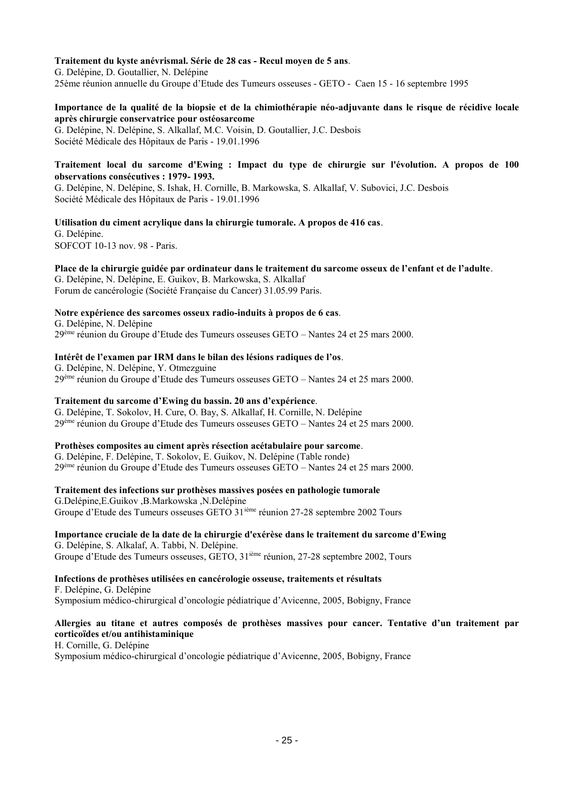#### **Traitement du kyste anévrismal. Série de 28 cas - Recul moyen de 5 ans**.

G. Delépine, D. Goutallier, N. Delépine 25ème réunion annuelle du Groupe d'Etude des Tumeurs osseuses - GETO - Caen 15 - 16 septembre 1995

#### **Importance de la qualité de la biopsie et de la chimiothérapie néo-adjuvante dans le risque de récidive locale après chirurgie conservatrice pour ostéosarcome**

G. Delépine, N. Delépine, S. Alkallaf, M.C. Voisin, D. Goutallier, J.C. Desbois Société Médicale des Hôpitaux de Paris - 19.01.1996

#### **Traitement local du sarcome d'Ewing : Impact du type de chirurgie sur l'évolution. A propos de 100 observations consécutives : 1979- 1993.**

G. Delépine, N. Delépine, S. Ishak, H. Cornille, B. Markowska, S. Alkallaf, V. Subovici, J.C. Desbois Société Médicale des Hôpitaux de Paris - 19.01.1996

## **Utilisation du ciment acrylique dans la chirurgie tumorale. A propos de 416 cas**.

G. Delépine. SOFCOT 10-13 nov. 98 - Paris.

### **Place de la chirurgie guidée par ordinateur dans le traitement du sarcome osseux de l'enfant et de l'adulte**.

G. Delépine, N. Delépine, E. Guikov, B. Markowska, S. Alkallaf Forum de cancérologie (Société Française du Cancer) 31.05.99 Paris.

### **Notre expérience des sarcomes osseux radio-induits à propos de 6 cas**.

G. Delépine, N. Delépine 29ème réunion du Groupe d'Etude des Tumeurs osseuses GETO – Nantes 24 et 25 mars 2000.

### **Intérêt de l'examen par IRM dans le bilan des lésions radiques de l'os**.

G. Delépine, N. Delépine, Y. Otmezguine 29ème réunion du Groupe d'Etude des Tumeurs osseuses GETO – Nantes 24 et 25 mars 2000.

### **Traitement du sarcome d'Ewing du bassin. 20 ans d'expérience**.

G. Delépine, T. Sokolov, H. Cure, O. Bay, S. Alkallaf, H. Cornille, N. Delépine 29ème réunion du Groupe d'Etude des Tumeurs osseuses GETO – Nantes 24 et 25 mars 2000.

### **Prothèses composites au ciment après résection acétabulaire pour sarcome**.

G. Delépine, F. Delépine, T. Sokolov, E. Guikov, N. Delépine (Table ronde) 29ème réunion du Groupe d'Etude des Tumeurs osseuses GETO – Nantes 24 et 25 mars 2000.

### **Traitement des infections sur prothèses massives posées en pathologie tumorale**

G.Delépine,E.Guikov ,B.Markowska ,N.Delépine Groupe d'Etude des Tumeurs osseuses GETO 31ième réunion 27-28 septembre 2002 Tours

#### **Importance cruciale de la date de la chirurgie d'exérèse dans le traitement du sarcome d'Ewing**  G. Delépine, S. Alkalaf, A. Tabbi, N. Delépine.

Groupe d'Etude des Tumeurs osseuses, GETO, 31ième réunion, 27-28 septembre 2002, Tours

#### **Infections de prothèses utilisées en cancérologie osseuse, traitements et résultats**

F. Delépine, G. Delépine Symposium médico-chirurgical d'oncologie pédiatrique d'Avicenne, 2005, Bobigny, France

### **Allergies au titane et autres composés de prothèses massives pour cancer. Tentative d'un traitement par corticoïdes et/ou antihistaminique**

H. Cornille, G. Delépine Symposium médico-chirurgical d'oncologie pédiatrique d'Avicenne, 2005, Bobigny, France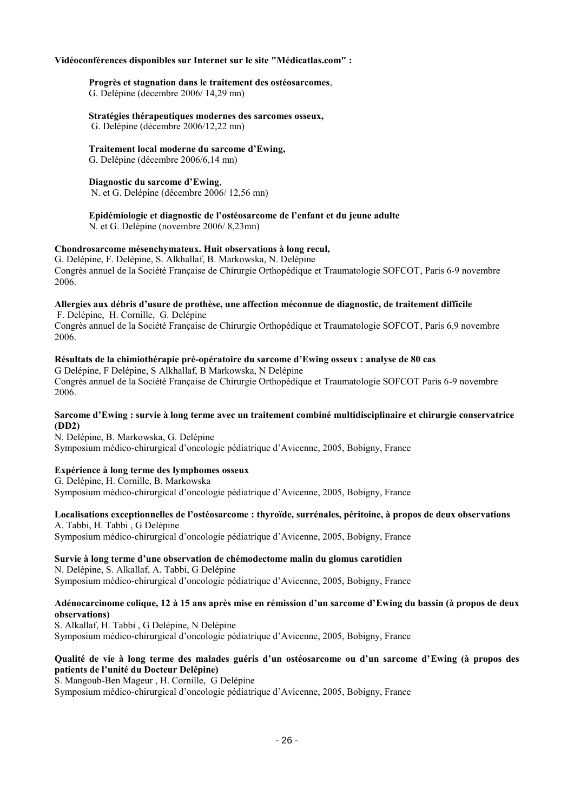#### **Vidéoconférences disponibles sur Internet sur le site "Médicatlas.com" :**

### **Progrès et stagnation dans le traitement des ostéosarcomes**,

G. Delépine (décembre 2006/ 14,29 mn)

### **Stratégies thérapeutiques modernes des sarcomes osseux,**

G. Delépine (décembre 2006/12,22 mn)

### **Traitement local moderne du sarcome d'Ewing,**

G. Delépine (décembre 2006/6,14 mn)

#### **Diagnostic du sarcome d'Ewing**,

N. et G. Delépine (décembre 2006/ 12,56 mn)

### **Epidémiologie et diagnostic de l'ostéosarcome de l'enfant et du jeune adulte**

N. et G. Delépine (novembre 2006/ 8,23mn)

### **Chondrosarcome mésenchymateux. Huit observations à long recul,**

G. Delépine, F. Delépine, S. Alkhallaf, B. Markowska, N. Delépine Congrès annuel de la Société Française de Chirurgie Orthopédique et Traumatologie SOFCOT, Paris 6-9 novembre 2006.

#### **Allergies aux débris d'usure de prothèse, une affection méconnue de diagnostic, de traitement difficile**  F. Delépine, H. Cornille, G. Delépine

Congrès annuel de la Société Française de Chirurgie Orthopédique et Traumatologie SOFCOT, Paris 6,9 novembre 2006.

### **Résultats de la chimiothérapie pré-opératoire du sarcome d'Ewing osseux : analyse de 80 cas**

G Delépine, F Delépine, S Alkhallaf, B Markowska, N Delépine Congrès annuel de la Société Française de Chirurgie Orthopédique et Traumatologie SOFCOT Paris 6-9 novembre 2006.

#### **Sarcome d'Ewing : survie à long terme avec un traitement combiné multidisciplinaire et chirurgie conservatrice (DD2)**

N. Delépine, B. Markowska, G. Delépine Symposium médico-chirurgical d'oncologie pédiatrique d'Avicenne, 2005, Bobigny, France

#### **Expérience à long terme des lymphomes osseux**

G. Delépine, H. Cornille, B. Markowska Symposium médico-chirurgical d'oncologie pédiatrique d'Avicenne, 2005, Bobigny, France

### **Localisations exceptionnelles de l'ostéosarcome : thyroïde, surrénales, péritoine, à propos de deux observations**

A. Tabbi, H. Tabbi , G Delépine Symposium médico-chirurgical d'oncologie pédiatrique d'Avicenne, 2005, Bobigny, France

#### **Survie à long terme d'une observation de chémodectome malin du glomus carotidien**

N. Delépine, S. Alkallaf, A. Tabbi, G Delépine Symposium médico-chirurgical d'oncologie pédiatrique d'Avicenne, 2005, Bobigny, France

### **Adénocarcinome colique, 12 à 15 ans après mise en rémission d'un sarcome d'Ewing du bassin (à propos de deux observations)**

S. Alkallaf, H. Tabbi , G Delépine, N Delépine Symposium médico-chirurgical d'oncologie pédiatrique d'Avicenne, 2005, Bobigny, France

#### **Qualité de vie à long terme des malades guéris d'un ostéosarcome ou d'un sarcome d'Ewing (à propos des patients de l'unité du Docteur Delépine)**

S. Mangoub-Ben Mageur , H. Cornille, G Delépine

Symposium médico-chirurgical d'oncologie pédiatrique d'Avicenne, 2005, Bobigny, France